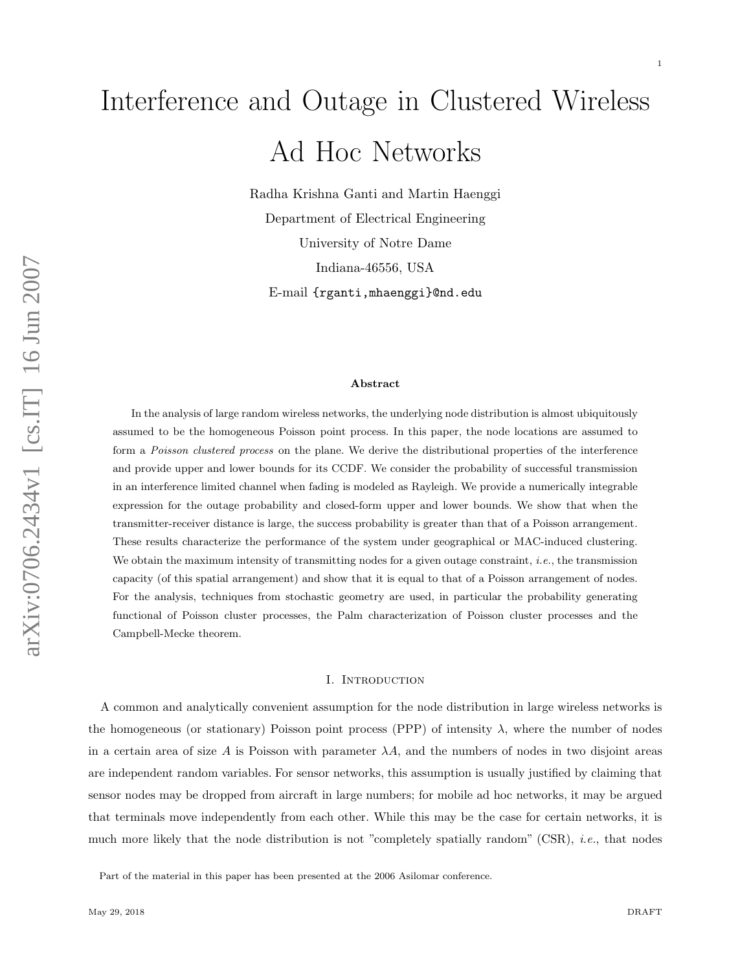# Interference and Outage in Clustered Wireless Ad Hoc Networks

Radha Krishna Ganti and Martin Haenggi Department of Electrical Engineering University of Notre Dame Indiana-46556, USA E-mail {rganti,mhaenggi}@nd.edu

#### Abstract

In the analysis of large random wireless networks, the underlying node distribution is almost ubiquitously assumed to be the homogeneous Poisson point process. In this paper, the node locations are assumed to form a Poisson clustered process on the plane. We derive the distributional properties of the interference and provide upper and lower bounds for its CCDF. We consider the probability of successful transmission in an interference limited channel when fading is modeled as Rayleigh. We provide a numerically integrable expression for the outage probability and closed-form upper and lower bounds. We show that when the transmitter-receiver distance is large, the success probability is greater than that of a Poisson arrangement. These results characterize the performance of the system under geographical or MAC-induced clustering. We obtain the maximum intensity of transmitting nodes for a given outage constraint, *i.e.*, the transmission capacity (of this spatial arrangement) and show that it is equal to that of a Poisson arrangement of nodes. For the analysis, techniques from stochastic geometry are used, in particular the probability generating functional of Poisson cluster processes, the Palm characterization of Poisson cluster processes and the Campbell-Mecke theorem.

#### I. INTRODUCTION

A common and analytically convenient assumption for the node distribution in large wireless networks is the homogeneous (or stationary) Poisson point process (PPP) of intensity  $\lambda$ , where the number of nodes in a certain area of size A is Poisson with parameter  $\lambda A$ , and the numbers of nodes in two disjoint areas are independent random variables. For sensor networks, this assumption is usually justified by claiming that sensor nodes may be dropped from aircraft in large numbers; for mobile ad hoc networks, it may be argued that terminals move independently from each other. While this may be the case for certain networks, it is much more likely that the node distribution is not "completely spatially random" (CSR), *i.e.*, that nodes

Part of the material in this paper has been presented at the 2006 Asilomar conference.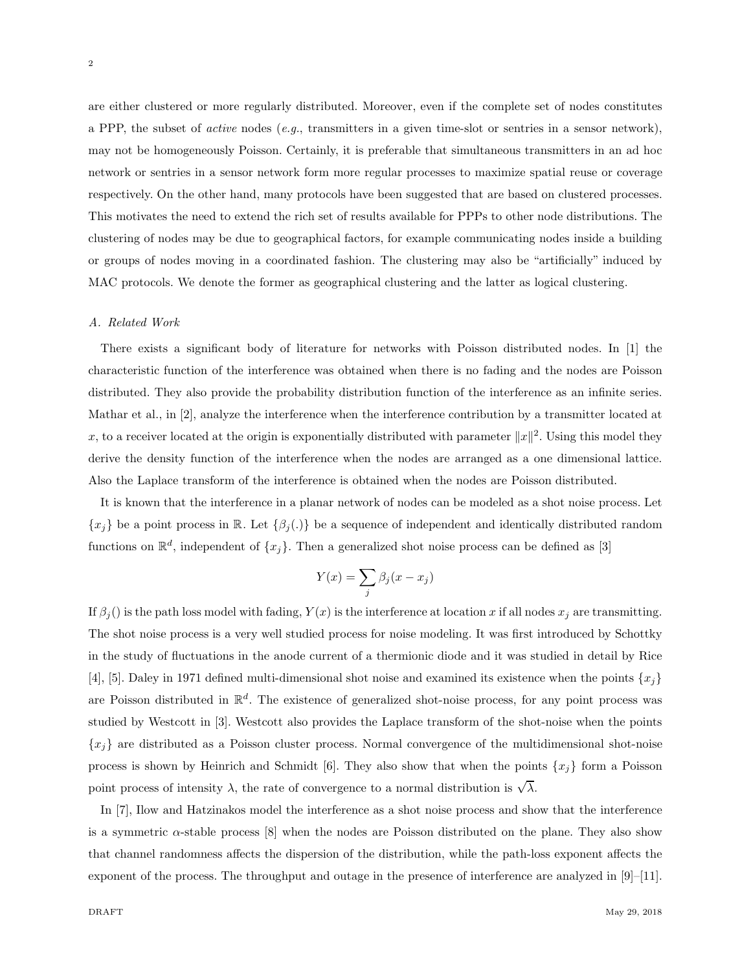are either clustered or more regularly distributed. Moreover, even if the complete set of nodes constitutes a PPP, the subset of *active* nodes (*e.g.*, transmitters in a given time-slot or sentries in a sensor network), may not be homogeneously Poisson. Certainly, it is preferable that simultaneous transmitters in an ad hoc network or sentries in a sensor network form more regular processes to maximize spatial reuse or coverage respectively. On the other hand, many protocols have been suggested that are based on clustered processes. This motivates the need to extend the rich set of results available for PPPs to other node distributions. The clustering of nodes may be due to geographical factors, for example communicating nodes inside a building or groups of nodes moving in a coordinated fashion. The clustering may also be "artificially" induced by MAC protocols. We denote the former as geographical clustering and the latter as logical clustering.

# *A. Related Work*

There exists a significant body of literature for networks with Poisson distributed nodes. In [1] the characteristic function of the interference was obtained when there is no fading and the nodes are Poisson distributed. They also provide the probability distribution function of the interference as an infinite series. Mathar et al., in [2], analyze the interference when the interference contribution by a transmitter located at x, to a receiver located at the origin is exponentially distributed with parameter  $||x||^2$ . Using this model they derive the density function of the interference when the nodes are arranged as a one dimensional lattice. Also the Laplace transform of the interference is obtained when the nodes are Poisson distributed.

It is known that the interference in a planar network of nodes can be modeled as a shot noise process. Let  ${x_j}$  be a point process in R. Let  ${\beta_j(.)}$  be a sequence of independent and identically distributed random functions on  $\mathbb{R}^d$ , independent of  $\{x_j\}$ . Then a generalized shot noise process can be defined as [3]

$$
Y(x) = \sum_{j} \beta_j (x - x_j)
$$

If  $\beta_j()$  is the path loss model with fading,  $Y(x)$  is the interference at location x if all nodes  $x_j$  are transmitting. The shot noise process is a very well studied process for noise modeling. It was first introduced by Schottky in the study of fluctuations in the anode current of a thermionic diode and it was studied in detail by Rice [4], [5]. Daley in 1971 defined multi-dimensional shot noise and examined its existence when the points  $\{x_i\}$ are Poisson distributed in  $\mathbb{R}^d$ . The existence of generalized shot-noise process, for any point process was studied by Westcott in [3]. Westcott also provides the Laplace transform of the shot-noise when the points  ${x_i}$  are distributed as a Poisson cluster process. Normal convergence of the multidimensional shot-noise process is shown by Heinrich and Schmidt [6]. They also show that when the points  $\{x_j\}$  form a Poisson point process of intensity  $\lambda$ , the rate of convergence to a normal distribution is  $\sqrt{\lambda}$ .

In [7], Ilow and Hatzinakos model the interference as a shot noise process and show that the interference is a symmetric  $\alpha$ -stable process [8] when the nodes are Poisson distributed on the plane. They also show that channel randomness affects the dispersion of the distribution, while the path-loss exponent affects the exponent of the process. The throughput and outage in the presence of interference are analyzed in [9]–[11].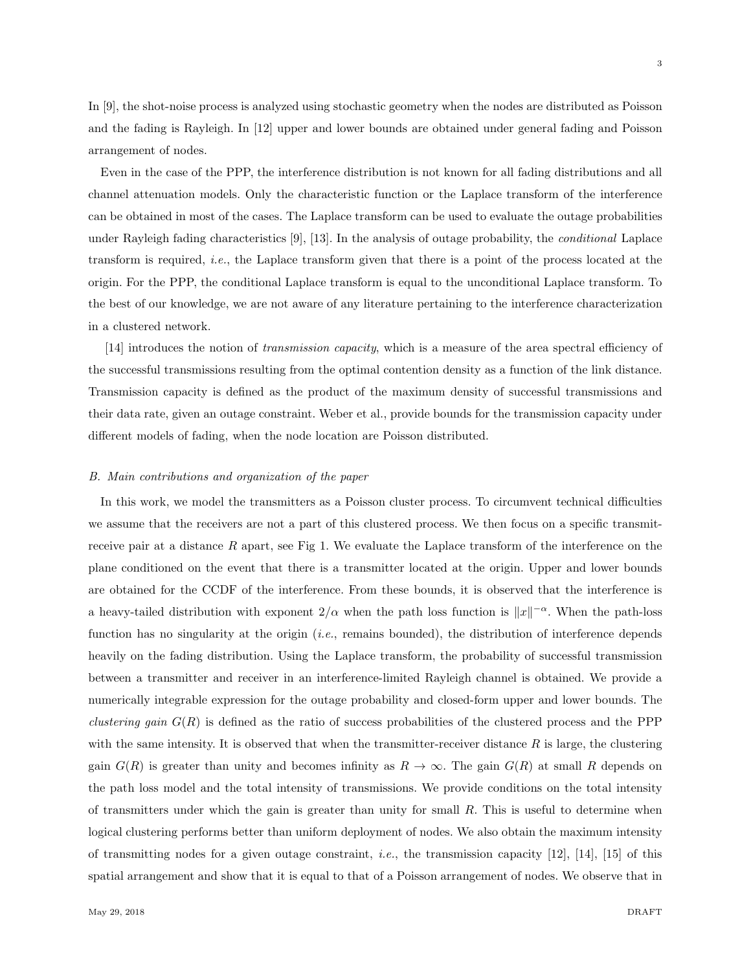In [9], the shot-noise process is analyzed using stochastic geometry when the nodes are distributed as Poisson and the fading is Rayleigh. In [12] upper and lower bounds are obtained under general fading and Poisson arrangement of nodes.

Even in the case of the PPP, the interference distribution is not known for all fading distributions and all channel attenuation models. Only the characteristic function or the Laplace transform of the interference can be obtained in most of the cases. The Laplace transform can be used to evaluate the outage probabilities under Rayleigh fading characteristics [9], [13]. In the analysis of outage probability, the *conditional* Laplace transform is required, *i.e.*, the Laplace transform given that there is a point of the process located at the origin. For the PPP, the conditional Laplace transform is equal to the unconditional Laplace transform. To the best of our knowledge, we are not aware of any literature pertaining to the interference characterization in a clustered network.

[14] introduces the notion of *transmission capacity*, which is a measure of the area spectral efficiency of the successful transmissions resulting from the optimal contention density as a function of the link distance. Transmission capacity is defined as the product of the maximum density of successful transmissions and their data rate, given an outage constraint. Weber et al., provide bounds for the transmission capacity under different models of fading, when the node location are Poisson distributed.

#### *B. Main contributions and organization of the paper*

In this work, we model the transmitters as a Poisson cluster process. To circumvent technical difficulties we assume that the receivers are not a part of this clustered process. We then focus on a specific transmitreceive pair at a distance  $R$  apart, see Fig 1. We evaluate the Laplace transform of the interference on the plane conditioned on the event that there is a transmitter located at the origin. Upper and lower bounds are obtained for the CCDF of the interference. From these bounds, it is observed that the interference is a heavy-tailed distribution with exponent  $2/\alpha$  when the path loss function is  $||x||^{-\alpha}$ . When the path-loss function has no singularity at the origin (*i.e.*, remains bounded), the distribution of interference depends heavily on the fading distribution. Using the Laplace transform, the probability of successful transmission between a transmitter and receiver in an interference-limited Rayleigh channel is obtained. We provide a numerically integrable expression for the outage probability and closed-form upper and lower bounds. The *clustering gain* G(R) is defined as the ratio of success probabilities of the clustered process and the PPP with the same intensity. It is observed that when the transmitter-receiver distance  $R$  is large, the clustering gain  $G(R)$  is greater than unity and becomes infinity as  $R \to \infty$ . The gain  $G(R)$  at small R depends on the path loss model and the total intensity of transmissions. We provide conditions on the total intensity of transmitters under which the gain is greater than unity for small R. This is useful to determine when logical clustering performs better than uniform deployment of nodes. We also obtain the maximum intensity of transmitting nodes for a given outage constraint, *i.e.*, the transmission capacity [12], [14], [15] of this spatial arrangement and show that it is equal to that of a Poisson arrangement of nodes. We observe that in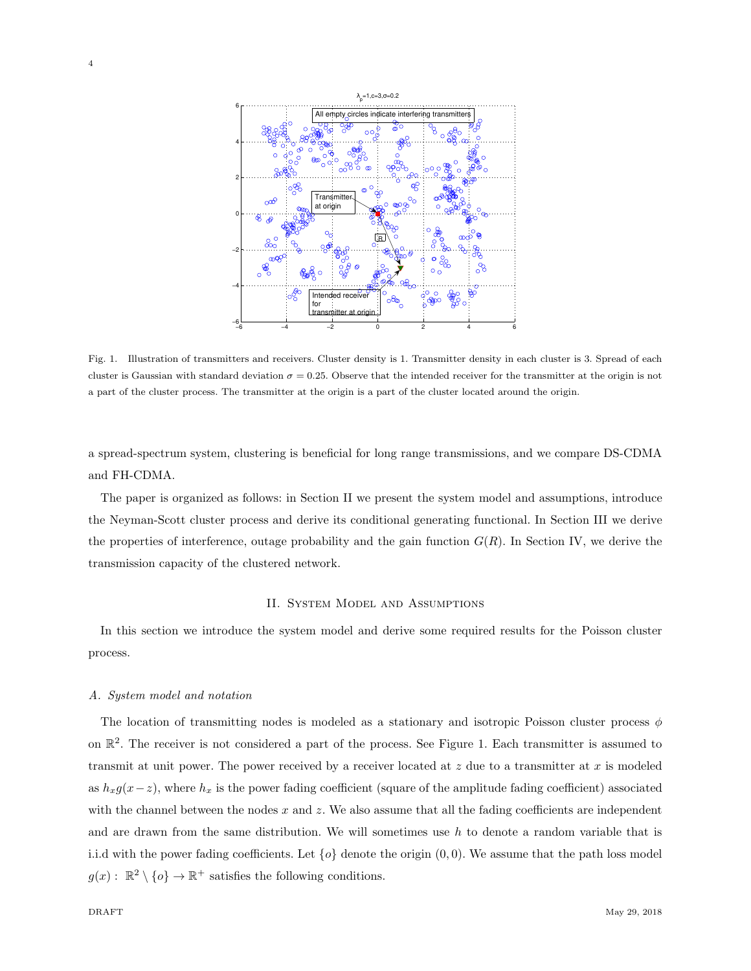

Fig. 1. Illustration of transmitters and receivers. Cluster density is 1. Transmitter density in each cluster is 3. Spread of each cluster is Gaussian with standard deviation  $\sigma = 0.25$ . Observe that the intended receiver for the transmitter at the origin is not a part of the cluster process. The transmitter at the origin is a part of the cluster located around the origin.

a spread-spectrum system, clustering is beneficial for long range transmissions, and we compare DS-CDMA and FH-CDMA.

The paper is organized as follows: in Section II we present the system model and assumptions, introduce the Neyman-Scott cluster process and derive its conditional generating functional. In Section III we derive the properties of interference, outage probability and the gain function  $G(R)$ . In Section IV, we derive the transmission capacity of the clustered network.

# II. System Model and Assumptions

In this section we introduce the system model and derive some required results for the Poisson cluster process.

# *A. System model and notation*

The location of transmitting nodes is modeled as a stationary and isotropic Poisson cluster process  $\phi$ on  $\mathbb{R}^2$ . The receiver is not considered a part of the process. See Figure 1. Each transmitter is assumed to transmit at unit power. The power received by a receiver located at  $z$  due to a transmitter at  $x$  is modeled as  $h_x g(x-z)$ , where  $h_x$  is the power fading coefficient (square of the amplitude fading coefficient) associated with the channel between the nodes  $x$  and  $z$ . We also assume that all the fading coefficients are independent and are drawn from the same distribution. We will sometimes use  $h$  to denote a random variable that is i.i.d with the power fading coefficients. Let  $\{o\}$  denote the origin  $(0, 0)$ . We assume that the path loss model  $g(x) : \mathbb{R}^2 \setminus \{o\} \to \mathbb{R}^+$  satisfies the following conditions.

4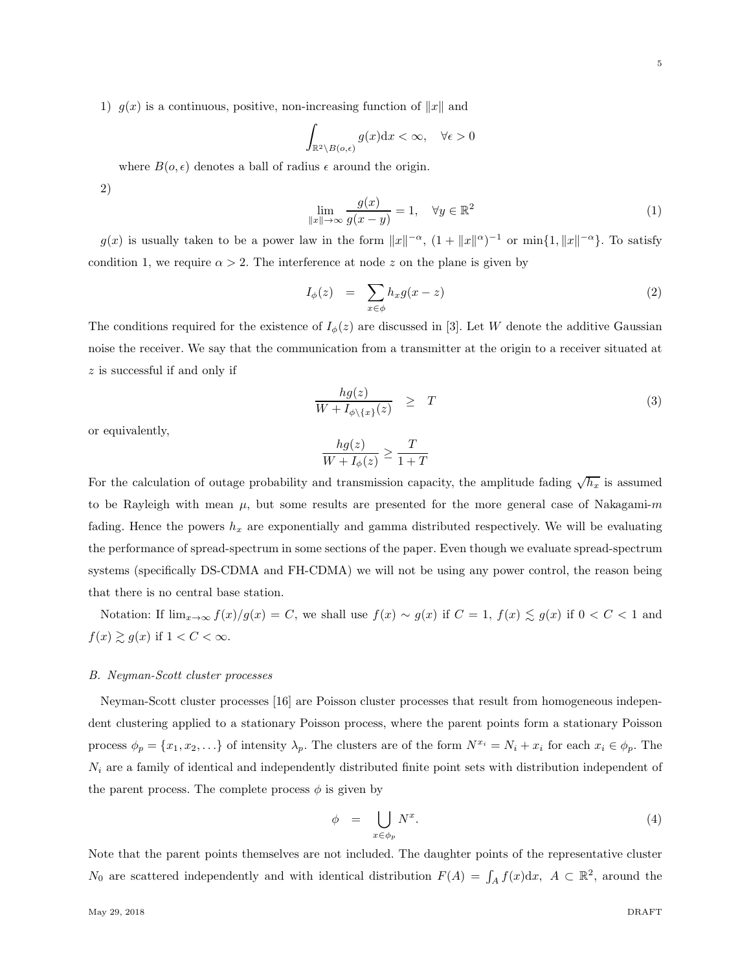1)  $g(x)$  is a continuous, positive, non-increasing function of ||x|| and

$$
\int_{\mathbb{R}^2 \setminus B(o,\epsilon)} g(x) dx < \infty, \quad \forall \epsilon > 0
$$

where  $B(o, \epsilon)$  denotes a ball of radius  $\epsilon$  around the origin.

2)

$$
\lim_{\|x\| \to \infty} \frac{g(x)}{g(x-y)} = 1, \quad \forall y \in \mathbb{R}^2
$$
\n(1)

 $g(x)$  is usually taken to be a power law in the form  $||x||^{-\alpha}$ ,  $(1 + ||x||^{\alpha})^{-1}$  or  $\min\{1, ||x||^{-\alpha}\}$ . To satisfy condition 1, we require  $\alpha > 2$ . The interference at node z on the plane is given by

$$
I_{\phi}(z) = \sum_{x \in \phi} h_x g(x - z) \tag{2}
$$

The conditions required for the existence of  $I_{\phi}(z)$  are discussed in [3]. Let W denote the additive Gaussian noise the receiver. We say that the communication from a transmitter at the origin to a receiver situated at z is successful if and only if

$$
\frac{hg(z)}{W + I_{\phi\setminus\{x\}}(z)} \geq T \tag{3}
$$

or equivalently,

$$
\frac{hg(z)}{W + I_{\phi}(z)} \ge \frac{T}{1+T}
$$

For the calculation of outage probability and transmission capacity, the amplitude fading  $\sqrt{h_x}$  is assumed to be Rayleigh with mean  $\mu$ , but some results are presented for the more general case of Nakagami- $m$ fading. Hence the powers  $h_x$  are exponentially and gamma distributed respectively. We will be evaluating the performance of spread-spectrum in some sections of the paper. Even though we evaluate spread-spectrum systems (specifically DS-CDMA and FH-CDMA) we will not be using any power control, the reason being that there is no central base station.

Notation: If  $\lim_{x\to\infty} f(x)/g(x) = C$ , we shall use  $f(x) \sim g(x)$  if  $C = 1$ ,  $f(x) \lesssim g(x)$  if  $0 < C < 1$  and  $f(x) \gtrsim g(x)$  if  $1 < C < \infty$ .

#### *B. Neyman-Scott cluster processes*

Neyman-Scott cluster processes [16] are Poisson cluster processes that result from homogeneous independent clustering applied to a stationary Poisson process, where the parent points form a stationary Poisson process  $\phi_p = \{x_1, x_2, \ldots\}$  of intensity  $\lambda_p$ . The clusters are of the form  $N^{x_i} = N_i + x_i$  for each  $x_i \in \phi_p$ . The  $N_i$  are a family of identical and independently distributed finite point sets with distribution independent of the parent process. The complete process  $\phi$  is given by

$$
\phi = \bigcup_{x \in \phi_p} N^x. \tag{4}
$$

Note that the parent points themselves are not included. The daughter points of the representative cluster N<sub>0</sub> are scattered independently and with identical distribution  $F(A) = \int_A f(x) dx$ ,  $A \subset \mathbb{R}^2$ , around the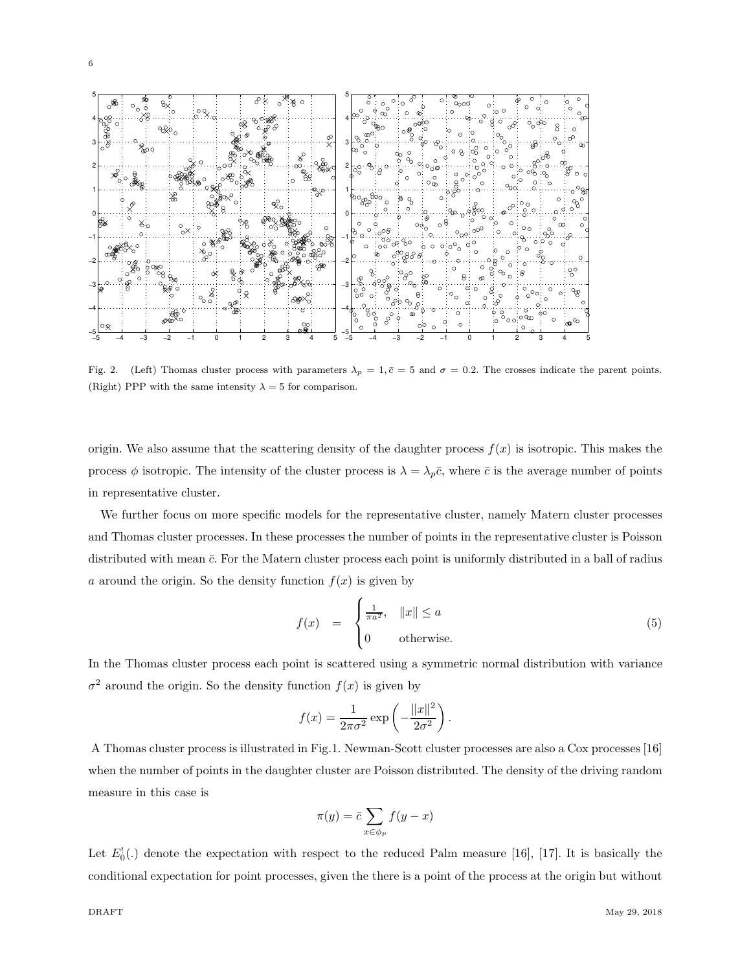

Fig. 2. (Left) Thomas cluster process with parameters  $\lambda_p = 1, \bar{c} = 5$  and  $\sigma = 0.2$ . The crosses indicate the parent points. (Right) PPP with the same intensity  $\lambda = 5$  for comparison.

origin. We also assume that the scattering density of the daughter process  $f(x)$  is isotropic. This makes the process  $\phi$  isotropic. The intensity of the cluster process is  $\lambda = \lambda_p \bar{c}$ , where  $\bar{c}$  is the average number of points in representative cluster.

We further focus on more specific models for the representative cluster, namely Matern cluster processes and Thomas cluster processes. In these processes the number of points in the representative cluster is Poisson distributed with mean  $\bar{c}$ . For the Matern cluster process each point is uniformly distributed in a ball of radius a around the origin. So the density function  $f(x)$  is given by

$$
f(x) = \begin{cases} \frac{1}{\pi a^2}, & ||x|| \le a \\ 0 & \text{otherwise.} \end{cases}
$$
 (5)

In the Thomas cluster process each point is scattered using a symmetric normal distribution with variance  $\sigma^2$  around the origin. So the density function  $f(x)$  is given by

$$
f(x) = \frac{1}{2\pi\sigma^2} \exp\left(-\frac{\|x\|^2}{2\sigma^2}\right).
$$

A Thomas cluster process is illustrated in Fig.1. Newman-Scott cluster processes are also a Cox processes [16] when the number of points in the daughter cluster are Poisson distributed. The density of the driving random measure in this case is

$$
\pi(y) = \bar{c} \sum_{x \in \phi_p} f(y - x)
$$

Let  $E_0^!(.)$  denote the expectation with respect to the reduced Palm measure [16], [17]. It is basically the conditional expectation for point processes, given the there is a point of the process at the origin but without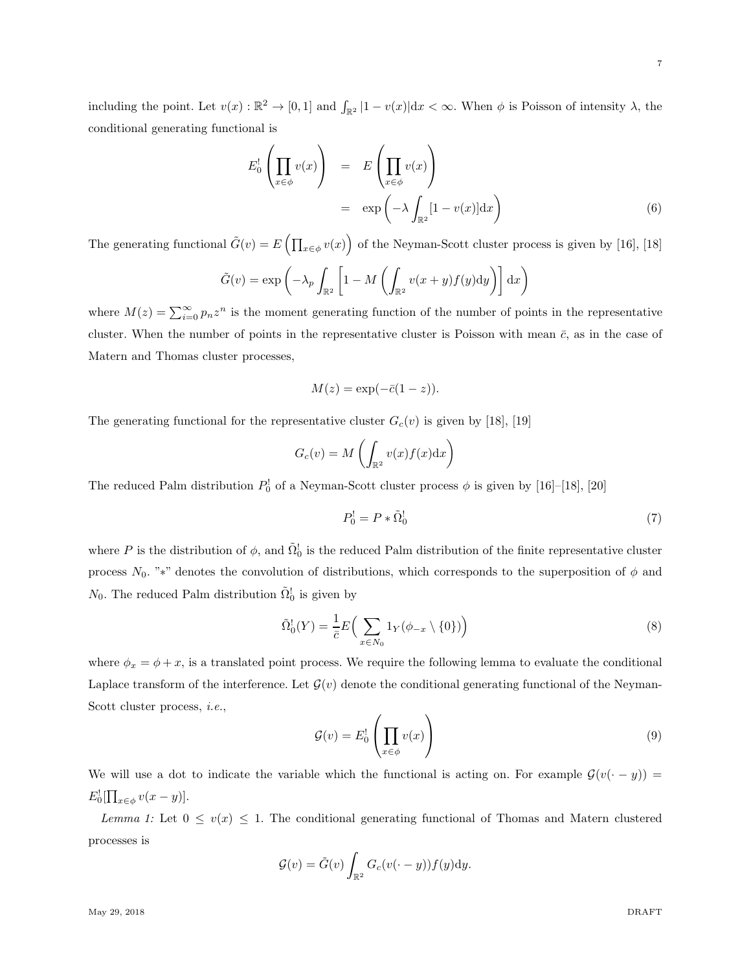7

including the point. Let  $v(x): \mathbb{R}^2 \to [0,1]$  and  $\int_{\mathbb{R}^2} |1-v(x)| dx < \infty$ . When  $\phi$  is Poisson of intensity  $\lambda$ , the conditional generating functional is

$$
E_0^!\left(\prod_{x\in\phi}v(x)\right) = E\left(\prod_{x\in\phi}v(x)\right)
$$
  
= 
$$
\exp\left(-\lambda\int_{\mathbb{R}^2}[1-v(x)]dx\right)
$$
 (6)

The generating functional  $\tilde{G}(v) = E\left(\prod_{x \in \phi} v(x)\right)$  of the Neyman-Scott cluster process is given by [16], [18]

$$
\tilde{G}(v) = \exp\left(-\lambda_p \int_{\mathbb{R}^2} \left[1 - M\left(\int_{\mathbb{R}^2} v(x+y)f(y)dy\right)\right] dx\right)
$$

where  $M(z) = \sum_{i=0}^{\infty} p_i z^n$  is the moment generating function of the number of points in the representative cluster. When the number of points in the representative cluster is Poisson with mean  $\bar{c}$ , as in the case of Matern and Thomas cluster processes,

$$
M(z) = \exp(-\bar{c}(1-z)).
$$

The generating functional for the representative cluster  $G_c(v)$  is given by [18], [19]

$$
G_c(v) = M\left(\int_{\mathbb{R}^2} v(x)f(x) \mathrm{d}x\right)
$$

The reduced Palm distribution  $P_0^!$  of a Neyman-Scott cluster process  $\phi$  is given by [16]–[18], [20]

$$
P_0^! = P * \tilde{\Omega}_0^! \tag{7}
$$

where P is the distribution of  $\phi$ , and  $\tilde{\Omega}_0^!$  is the reduced Palm distribution of the finite representative cluster process  $N_0$ . "\*" denotes the convolution of distributions, which corresponds to the superposition of  $\phi$  and  $N_0$ . The reduced Palm distribution  $\tilde{\Omega}_0^!$  is given by

$$
\tilde{\Omega}_0^!(Y) = \frac{1}{\bar{c}} E\Big(\sum_{x \in N_0} 1_Y(\phi_{-x} \setminus \{0\})\Big) \tag{8}
$$

where  $\phi_x = \phi + x$ , is a translated point process. We require the following lemma to evaluate the conditional Laplace transform of the interference. Let  $\mathcal{G}(v)$  denote the conditional generating functional of the Neyman-Scott cluster process, *i.e.*,

$$
\mathcal{G}(v) = E_0^! \left( \prod_{x \in \phi} v(x) \right) \tag{9}
$$

We will use a dot to indicate the variable which the functional is acting on. For example  $\mathcal{G}(v(\cdot - y)) =$  $E_0^![\prod_{x\in\phi}v(x-y)].$ 

*Lemma 1:* Let  $0 \le v(x) \le 1$ . The conditional generating functional of Thomas and Matern clustered processes is

$$
\mathcal{G}(v) = \tilde{G}(v) \int_{\mathbb{R}^2} G_c(v(\cdot - y)) f(y) dy.
$$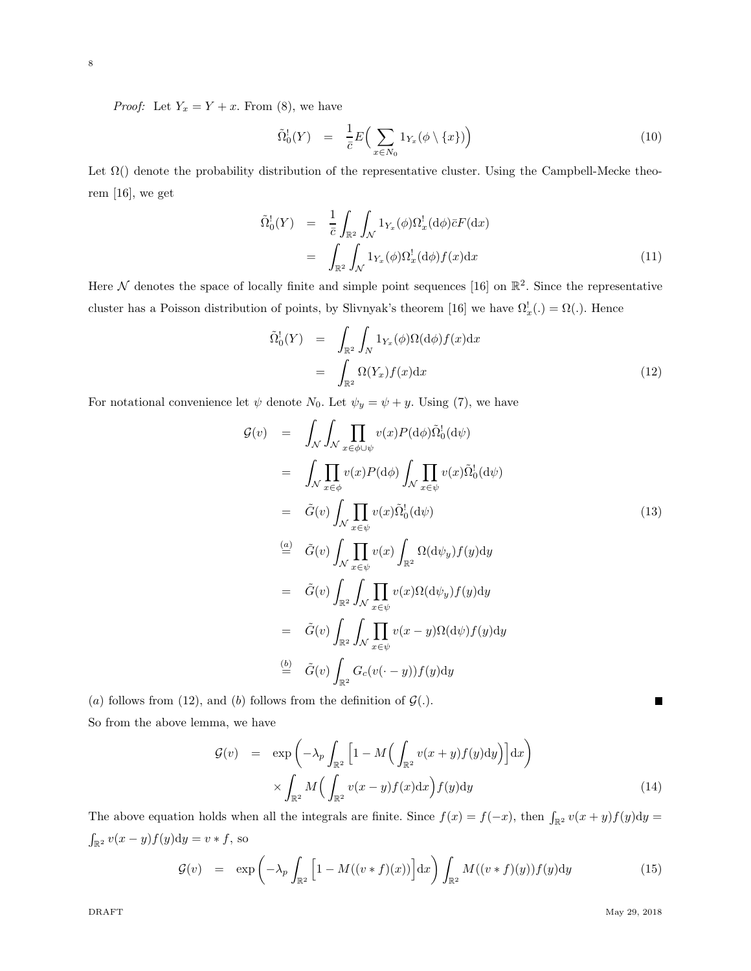8

*Proof:* Let  $Y_x = Y + x$ . From (8), we have

$$
\tilde{\Omega}_0^!(Y) = \frac{1}{\bar{c}} E\Big(\sum_{x \in N_0} 1_{Y_x}(\phi \setminus \{x\})\Big) \tag{10}
$$

Let  $\Omega$ () denote the probability distribution of the representative cluster. Using the Campbell-Mecke theorem [16], we get

$$
\tilde{\Omega}_0^!(Y) = \frac{1}{\bar{c}} \int_{\mathbb{R}^2} \int_{\mathcal{N}} 1_{Y_x}(\phi) \Omega_x^!(d\phi) \bar{c} F(dx) \n= \int_{\mathbb{R}^2} \int_{\mathcal{N}} 1_{Y_x}(\phi) \Omega_x^!(d\phi) f(x) dx
$$
\n(11)

Here  $\mathcal N$  denotes the space of locally finite and simple point sequences [16] on  $\mathbb{R}^2$ . Since the representative cluster has a Poisson distribution of points, by Slivnyak's theorem [16] we have  $\Omega_x^!(.)=\Omega(.)$ . Hence

$$
\tilde{\Omega}_0^!(Y) = \int_{\mathbb{R}^2} \int_N 1_{Y_x}(\phi) \Omega(\mathrm{d}\phi) f(x) \mathrm{d}x \n= \int_{\mathbb{R}^2} \Omega(Y_x) f(x) \mathrm{d}x
$$
\n(12)

For notational convenience let  $\psi$  denote  $N_0$ . Let  $\psi_y = \psi + y$ . Using (7), we have

$$
\mathcal{G}(v) = \int_{\mathcal{N}} \int_{\mathcal{N}} \prod_{x \in \phi \cup \psi} v(x) P(\mathrm{d}\phi) \tilde{\Omega}_{0}^{1}(\mathrm{d}\psi)
$$
\n
$$
= \int_{\mathcal{N}} \prod_{x \in \phi} v(x) P(\mathrm{d}\phi) \int_{\mathcal{N}} \prod_{x \in \psi} v(x) \tilde{\Omega}_{0}^{1}(\mathrm{d}\psi)
$$
\n
$$
= \tilde{G}(v) \int_{\mathcal{N}} \prod_{x \in \psi} v(x) \tilde{\Omega}_{0}^{1}(\mathrm{d}\psi)
$$
\n
$$
\stackrel{(a)}{=} \tilde{G}(v) \int_{\mathcal{N}} \prod_{x \in \psi} v(x) \int_{\mathbb{R}^{2}} \Omega(\mathrm{d}\psi_{y}) f(y) \mathrm{d}y
$$
\n
$$
= \tilde{G}(v) \int_{\mathbb{R}^{2}} \int_{\mathcal{N}} \prod_{x \in \psi} v(x) \Omega(\mathrm{d}\psi_{y}) f(y) \mathrm{d}y
$$
\n
$$
= \tilde{G}(v) \int_{\mathbb{R}^{2}} \int_{\mathcal{N}} \prod_{x \in \psi} v(x - y) \Omega(\mathrm{d}\psi) f(y) \mathrm{d}y
$$
\n
$$
\stackrel{(b)}{=} \tilde{G}(v) \int_{\mathbb{R}^{2}} G_{c}(v(\cdot - y)) f(y) \mathrm{d}y
$$
\n
$$
\text{follows from the definition of } G()
$$

(a) follows from (12), and (b) follows from the definition of  $\mathcal{G}(.)$ 

So from the above lemma, we have

$$
\mathcal{G}(v) = \exp\left(-\lambda_p \int_{\mathbb{R}^2} \left[1 - M\left(\int_{\mathbb{R}^2} v(x+y)f(y)dy\right)\right] dx\right) \times \int_{\mathbb{R}^2} M\left(\int_{\mathbb{R}^2} v(x-y)f(x)dx\right) f(y) dy \tag{14}
$$

The above equation holds when all the integrals are finite. Since  $f(x) = f(-x)$ , then  $\int_{\mathbb{R}^2} v(x+y)f(y)dy =$  $\int_{\mathbb{R}^2} v(x - y) f(y) dy = v * f$ , so

$$
\mathcal{G}(v) = \exp\left(-\lambda_p \int_{\mathbb{R}^2} \left[1 - M((v * f)(x))\right] dx\right) \int_{\mathbb{R}^2} M((v * f)(y)) f(y) dy \tag{15}
$$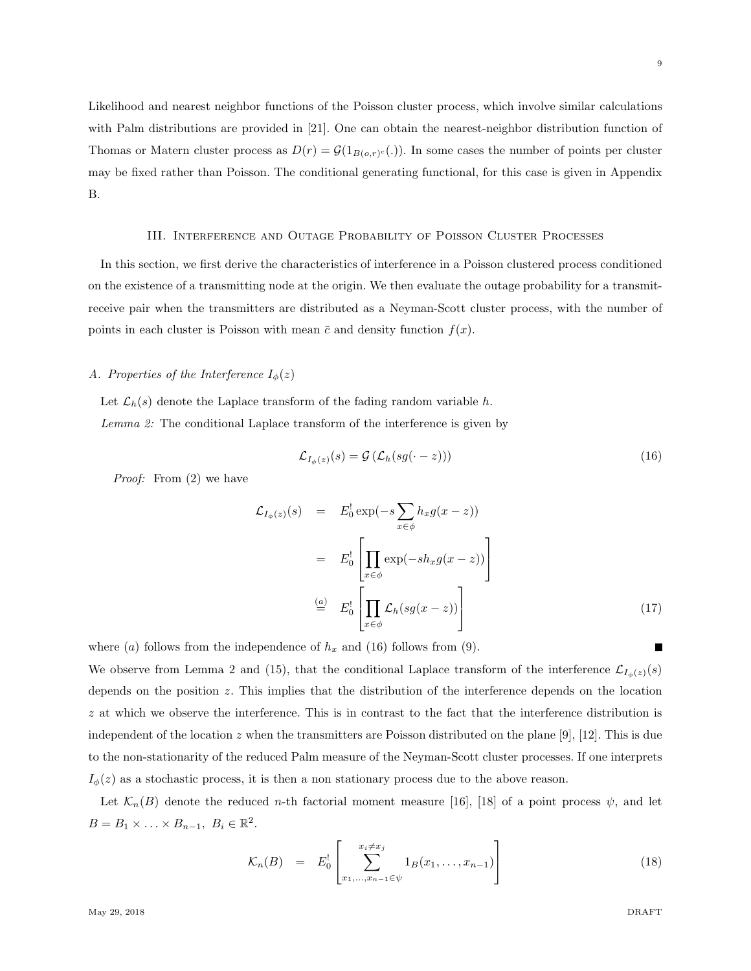Likelihood and nearest neighbor functions of the Poisson cluster process, which involve similar calculations with Palm distributions are provided in [21]. One can obtain the nearest-neighbor distribution function of Thomas or Matern cluster process as  $D(r) = \mathcal{G}(1_{B(o,r)^c}(.)$ . In some cases the number of points per cluster may be fixed rather than Poisson. The conditional generating functional, for this case is given in Appendix B.

#### III. Interference and Outage Probability of Poisson Cluster Processes

In this section, we first derive the characteristics of interference in a Poisson clustered process conditioned on the existence of a transmitting node at the origin. We then evaluate the outage probability for a transmitreceive pair when the transmitters are distributed as a Neyman-Scott cluster process, with the number of points in each cluster is Poisson with mean  $\bar{c}$  and density function  $f(x)$ .

# *A. Properties of the Interference*  $I_{\phi}(z)$

Let  $\mathcal{L}_h(s)$  denote the Laplace transform of the fading random variable h. *Lemma 2:* The conditional Laplace transform of the interference is given by

$$
\mathcal{L}_{I_{\phi}(z)}(s) = \mathcal{G}\left(\mathcal{L}_{h}(sg(\cdot - z))\right) \tag{16}
$$

*Proof:* From (2) we have

$$
\mathcal{L}_{I_{\phi}(z)}(s) = E_0^! \exp(-s \sum_{x \in \phi} h_x g(x - z))
$$

$$
= E_0^! \left[ \prod_{x \in \phi} \exp(-s h_x g(x - z)) \right]
$$

$$
\stackrel{(a)}{=} E_0^! \left[ \prod_{x \in \phi} \mathcal{L}_h(s g(x - z)) \right]
$$
(17)

where (a) follows from the independence of  $h_x$  and (16) follows from (9).

We observe from Lemma 2 and (15), that the conditional Laplace transform of the interference  $\mathcal{L}_{I_{\phi}(z)}(s)$ depends on the position z. This implies that the distribution of the interference depends on the location z at which we observe the interference. This is in contrast to the fact that the interference distribution is independent of the location z when the transmitters are Poisson distributed on the plane [9], [12]. This is due to the non-stationarity of the reduced Palm measure of the Neyman-Scott cluster processes. If one interprets  $I_{\phi}(z)$  as a stochastic process, it is then a non stationary process due to the above reason.

Let  $\mathcal{K}_n(B)$  denote the reduced *n*-th factorial moment measure [16], [18] of a point process  $\psi$ , and let  $B=B_1\times \ldots \times B_{n-1},\ B_i\in\mathbb{R}^2.$ 

$$
\mathcal{K}_n(B) = E_0^! \left[ \sum_{x_1, \dots, x_{n-1} \in \psi}^{x_i \neq x_j} 1_B(x_1, \dots, x_{n-1}) \right]
$$
(18)

9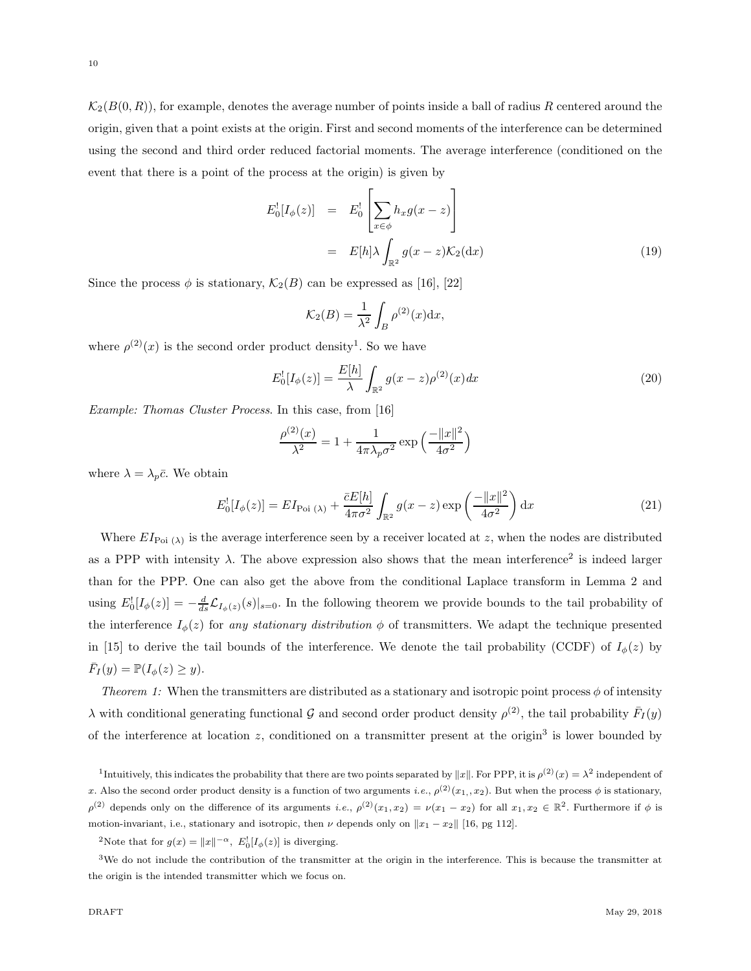$\mathcal{K}_2(B(0,R))$ , for example, denotes the average number of points inside a ball of radius R centered around the origin, given that a point exists at the origin. First and second moments of the interference can be determined using the second and third order reduced factorial moments. The average interference (conditioned on the event that there is a point of the process at the origin) is given by

$$
E_0^![I_{\phi}(z)] = E_0^! \left[ \sum_{x \in \phi} h_x g(x - z) \right]
$$
  
= 
$$
E[h] \lambda \int_{\mathbb{R}^2} g(x - z) \mathcal{K}_2(\mathrm{d}x)
$$
 (19)

Since the process  $\phi$  is stationary,  $\mathcal{K}_2(B)$  can be expressed as [16], [22]

$$
\mathcal{K}_2(B) = \frac{1}{\lambda^2} \int_B \rho^{(2)}(x) \mathrm{d}x,
$$

where  $\rho^{(2)}(x)$  is the second order product density<sup>1</sup>. So we have

$$
E_0^![I_\phi(z)] = \frac{E[h]}{\lambda} \int_{\mathbb{R}^2} g(x-z) \rho^{(2)}(x) dx \tag{20}
$$

*Example: Thomas Cluster Process*. In this case, from [16]

$$
\frac{\rho^{(2)}(x)}{\lambda^2} = 1 + \frac{1}{4\pi\lambda_p\sigma^2} \exp\left(\frac{-\|x\|^2}{4\sigma^2}\right)
$$

where  $\lambda = \lambda_p \bar{c}$ . We obtain

$$
E_0^![I_\phi(z)] = EI_{\text{Poi}(\lambda)} + \frac{\bar{c}E[h]}{4\pi\sigma^2} \int_{\mathbb{R}^2} g(x-z) \exp\left(\frac{-\|x\|^2}{4\sigma^2}\right) dx \tag{21}
$$

Where  $EI_{Poi}$  ( $\lambda$ ) is the average interference seen by a receiver located at z, when the nodes are distributed as a PPP with intensity  $\lambda$ . The above expression also shows that the mean interference<sup>2</sup> is indeed larger than for the PPP. One can also get the above from the conditional Laplace transform in Lemma 2 and using  $E_0'[I_{\phi}(z)] = -\frac{d}{ds}\mathcal{L}_{I_{\phi}(z)}(s)|_{s=0}$ . In the following theorem we provide bounds to the tail probability of the interference  $I_{\phi}(z)$  for *any stationary distribution*  $\phi$  of transmitters. We adapt the technique presented in [15] to derive the tail bounds of the interference. We denote the tail probability (CCDF) of  $I_{\phi}(z)$  by  $\bar{F}_I(y) = \mathbb{P}(I_{\phi}(z) \geq y).$ 

*Theorem 1:* When the transmitters are distributed as a stationary and isotropic point process  $\phi$  of intensity  $\lambda$  with conditional generating functional  $\mathcal G$  and second order product density  $\rho^{(2)}$ , the tail probability  $\bar{F}_I(y)$ of the interference at location  $z$ , conditioned on a transmitter present at the origin<sup>3</sup> is lower bounded by

<sup>1</sup>Intuitively, this indicates the probability that there are two points separated by  $||x||$ . For PPP, it is  $\rho^{(2)}(x) = \lambda^2$  independent of x. Also the second order product density is a function of two arguments *i.e.*,  $\rho^{(2)}(x_1, x_2)$ . But when the process  $\phi$  is stationary,  $\rho^{(2)}$  depends only on the difference of its arguments *i.e.*,  $\rho^{(2)}(x_1, x_2) = \nu(x_1 - x_2)$  for all  $x_1, x_2 \in \mathbb{R}^2$ . Furthermore if  $\phi$  is motion-invariant, i.e., stationary and isotropic, then  $\nu$  depends only on  $||x_1 - x_2||$  [16, pg 112].

<sup>2</sup>Note that for  $g(x) = ||x||^{-\alpha}$ ,  $E_0^![I_\phi(z)]$  is diverging.

 $3$ We do not include the contribution of the transmitter at the origin in the interference. This is because the transmitter at the origin is the intended transmitter which we focus on.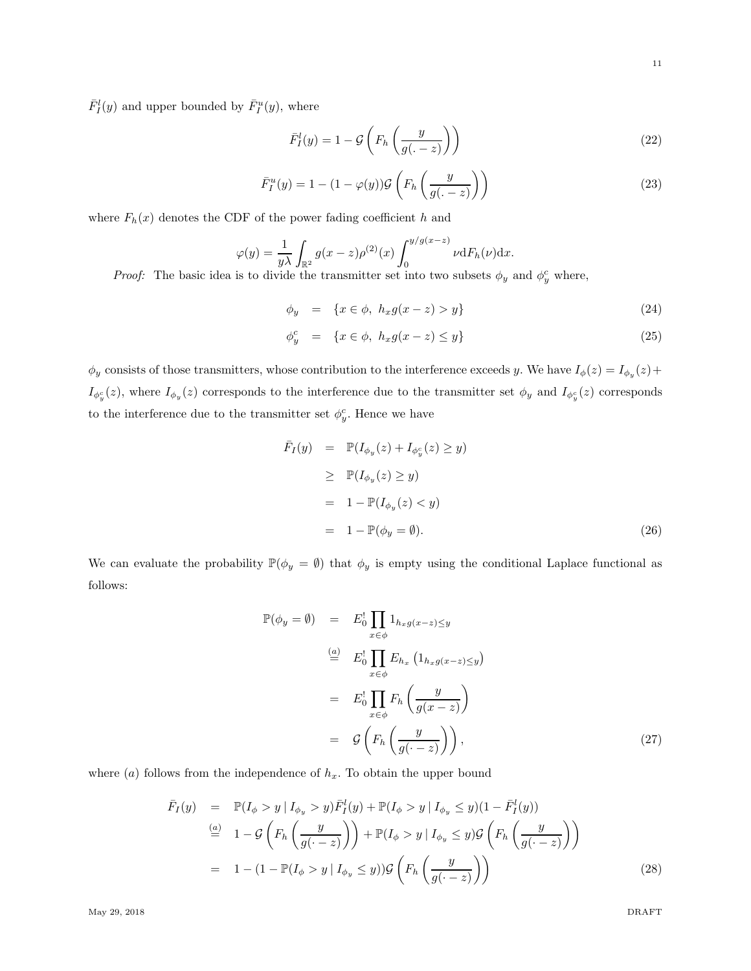$\bar{F}_{I}^{l}(y)$  and upper bounded by  $\bar{F}_{I}^{u}(y)$ , where

$$
\bar{F}_I^l(y) = 1 - \mathcal{G}\left(F_h\left(\frac{y}{g(. - z)}\right)\right) \tag{22}
$$

$$
\bar{F}_I^u(y) = 1 - (1 - \varphi(y)) \mathcal{G}\left(F_h\left(\frac{y}{g(. - z)}\right)\right) \tag{23}
$$

where  $F_h(x)$  denotes the CDF of the power fading coefficient h and

$$
\varphi(y) = \frac{1}{y\lambda} \int_{\mathbb{R}^2} g(x-z) \rho^{(2)}(x) \int_0^{y/g(x-z)} \nu \mathrm{d}F_h(\nu) \mathrm{d}x.
$$

*Proof:* The basic idea is to divide the transmitter set into two subsets  $\phi_y$  and  $\phi_y^c$  where,

$$
\phi_y = \{ x \in \phi, \ h_x g(x - z) > y \} \tag{24}
$$

$$
\phi_y^c = \{x \in \phi, \ h_x g(x - z) \le y\} \tag{25}
$$

 $\phi_y$  consists of those transmitters, whose contribution to the interference exceeds y. We have  $I_\phi(z) = I_{\phi_y}(z) + I_{\phi_y}(z)$  $I_{\phi_y^c}(z)$ , where  $I_{\phi_y}(z)$  corresponds to the interference due to the transmitter set  $\phi_y$  and  $I_{\phi_y^c}(z)$  corresponds to the interference due to the transmitter set  $\phi_y^c$ . Hence we have

$$
\begin{aligned}\n\bar{F}_I(y) &= \mathbb{P}(I_{\phi_y}(z) + I_{\phi_y^c}(z) \ge y) \\
&\ge \mathbb{P}(I_{\phi_y}(z) \ge y) \\
&= 1 - \mathbb{P}(I_{\phi_y}(z) < y) \\
&= 1 - \mathbb{P}(\phi_y = \emptyset).\n\end{aligned} \tag{26}
$$

We can evaluate the probability  $\mathbb{P}(\phi_y = \emptyset)$  that  $\phi_y$  is empty using the conditional Laplace functional as follows:

$$
\mathbb{P}(\phi_y = \emptyset) = E_0^! \prod_{x \in \phi} 1_{h_x g(x-z) \le y}
$$
\n
$$
\stackrel{(a)}{=} E_0^! \prod_{x \in \phi} E_{h_x} (1_{h_x g(x-z) \le y})
$$
\n
$$
= E_0^! \prod_{x \in \phi} F_h \left( \frac{y}{g(x-z)} \right)
$$
\n
$$
= \mathcal{G} \left( F_h \left( \frac{y}{g(\cdot - z)} \right) \right), \tag{27}
$$

where  $(a)$  follows from the independence of  $h_x$ . To obtain the upper bound

$$
\begin{array}{rcl}\n\bar{F}_I(y) & = & \mathbb{P}(I_\phi > y \mid I_{\phi_y} > y) \bar{F}_I^l(y) + \mathbb{P}(I_\phi > y \mid I_{\phi_y} \leq y)(1 - \bar{F}_I^l(y)) \\
& \stackrel{(a)}{=} & 1 - \mathcal{G}\left(F_h\left(\frac{y}{g(\cdot - z)}\right)\right) + \mathbb{P}(I_\phi > y \mid I_{\phi_y} \leq y)\mathcal{G}\left(F_h\left(\frac{y}{g(\cdot - z)}\right)\right) \\
& = & 1 - (1 - \mathbb{P}(I_\phi > y \mid I_{\phi_y} \leq y))\mathcal{G}\left(F_h\left(\frac{y}{g(\cdot - z)}\right)\right)\n\end{array} \tag{28}
$$

May 29, 2018 DRAFT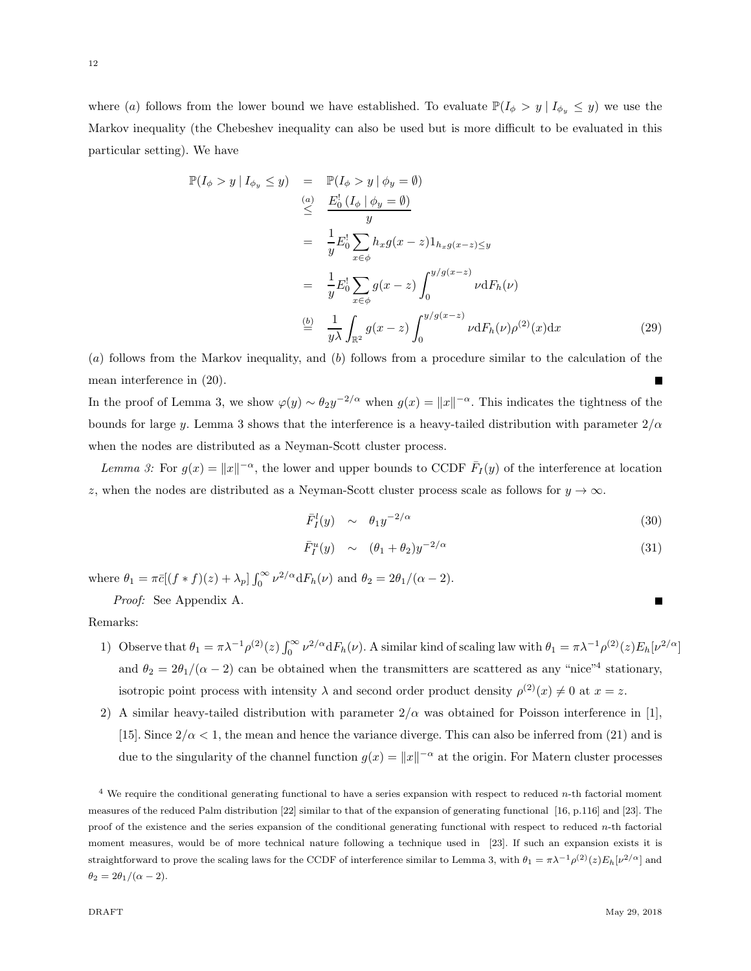where (a) follows from the lower bound we have established. To evaluate  $\mathbb{P}(I_{\phi} > y | I_{\phi_y} \leq y)$  we use the Markov inequality (the Chebeshev inequality can also be used but is more difficult to be evaluated in this particular setting). We have

$$
\mathbb{P}(I_{\phi} > y | I_{\phi_y} \leq y) = \mathbb{P}(I_{\phi} > y | \phi_y = \emptyset)
$$
\n
$$
\leq \frac{E_0^1 (I_{\phi} | \phi_y = \emptyset)}{y}
$$
\n
$$
= \frac{1}{y} E_0^1 \sum_{x \in \phi} h_x g(x - z) 1_{h_x g(x - z) \leq y}
$$
\n
$$
= \frac{1}{y} E_0^1 \sum_{x \in \phi} g(x - z) \int_0^{y/g(x - z)} \nu dF_h(\nu)
$$
\n
$$
\stackrel{\text{(b)}}{=} \frac{1}{y \lambda} \int_{\mathbb{R}^2} g(x - z) \int_0^{y/g(x - z)} \nu dF_h(\nu) \rho^{(2)}(x) dx \tag{29}
$$

(a) follows from the Markov inequality, and (b) follows from a procedure similar to the calculation of the mean interference in (20).

In the proof of Lemma 3, we show  $\varphi(y) \sim \theta_2 y^{-2/\alpha}$  when  $g(x) = ||x||^{-\alpha}$ . This indicates the tightness of the bounds for large y. Lemma 3 shows that the interference is a heavy-tailed distribution with parameter  $2/\alpha$ when the nodes are distributed as a Neyman-Scott cluster process.

*Lemma 3:* For  $g(x) = ||x||^{-\alpha}$ , the lower and upper bounds to CCDF  $\bar{F}_I(y)$  of the interference at location z, when the nodes are distributed as a Neyman-Scott cluster process scale as follows for  $y \to \infty$ .

$$
\bar{F}_I^l(y) \sim \theta_1 y^{-2/\alpha} \tag{30}
$$

$$
\bar{F}_I^u(y) \sim (\theta_1 + \theta_2) y^{-2/\alpha} \tag{31}
$$

where  $\theta_1 = \pi \bar{c} \left[ (f * f)(z) + \lambda_p \right] \int_0^\infty$  $\int_0^\infty \nu^{2/\alpha} dF_h(\nu)$  and  $\theta_2 = 2\theta_1/(\alpha - 2)$ .

*Proof:* See Appendix A.

# Remarks:

- 1) Observe that  $\theta_1 = \pi \lambda^{-1} \rho^{(2)}(z) \int_0^\infty$  $\int_0^\infty \nu^{2/\alpha} dF_h(\nu)$ . A similar kind of scaling law with  $\theta_1 = \pi \lambda^{-1} \rho^{(2)}(z) E_h[\nu^{2/\alpha}]$ and  $\theta_2 = 2\theta_1/(\alpha - 2)$  can be obtained when the transmitters are scattered as any "nice"<sup>4</sup> stationary, isotropic point process with intensity  $\lambda$  and second order product density  $\rho^{(2)}(x) \neq 0$  at  $x = z$ .
- 2) A similar heavy-tailed distribution with parameter  $2/\alpha$  was obtained for Poisson interference in [1], [15]. Since  $2/\alpha < 1$ , the mean and hence the variance diverge. This can also be inferred from (21) and is due to the singularity of the channel function  $g(x) = ||x||^{-\alpha}$  at the origin. For Matern cluster processes

 $4$  We require the conditional generating functional to have a series expansion with respect to reduced n-th factorial moment measures of the reduced Palm distribution [22] similar to that of the expansion of generating functional [16, p.116] and [23]. The proof of the existence and the series expansion of the conditional generating functional with respect to reduced  $n$ -th factorial moment measures, would be of more technical nature following a technique used in [23]. If such an expansion exists it is straightforward to prove the scaling laws for the CCDF of interference similar to Lemma 3, with  $\theta_1 = \pi \lambda^{-1} \rho^{(2)}(z) E_h[\nu^{2/\alpha}]$  and  $\theta_2 = 2\theta_1/(\alpha - 2)$ .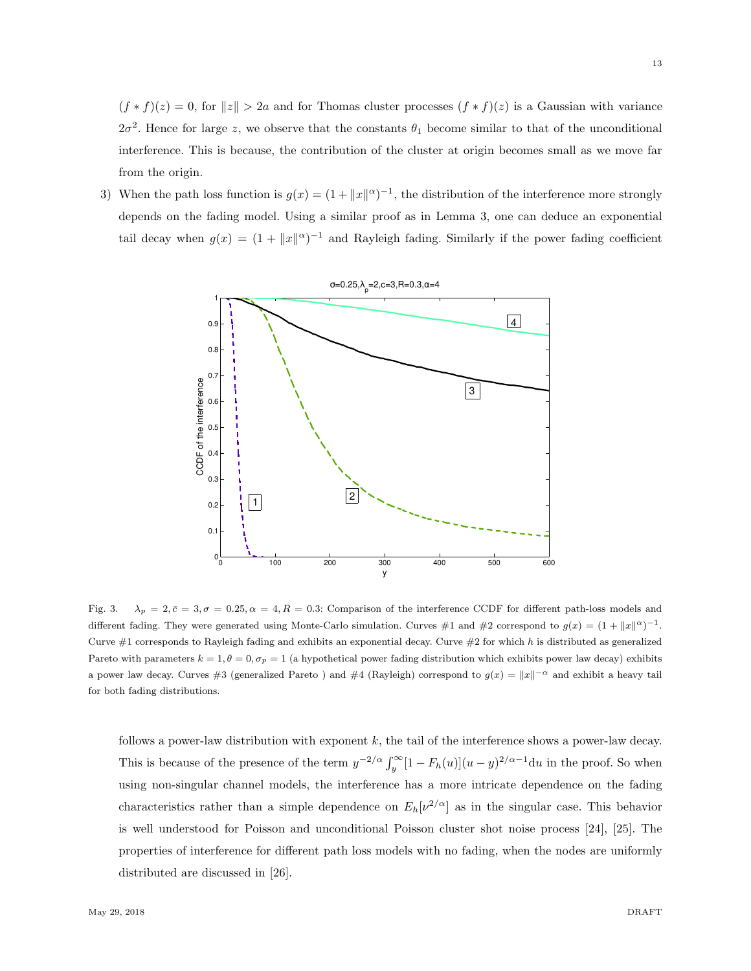$(f * f)(z) = 0$ , for  $||z|| > 2a$  and for Thomas cluster processes  $(f * f)(z)$  is a Gaussian with variance  $2\sigma^2$ . Hence for large z, we observe that the constants  $\theta_1$  become similar to that of the unconditional interference. This is because, the contribution of the cluster at origin becomes small as we move far from the origin.

3) When the path loss function is  $g(x) = (1 + ||x||^{\alpha})^{-1}$ , the distribution of the interference more strongly depends on the fading model. Using a similar proof as in Lemma 3, one can deduce an exponential tail decay when  $g(x) = (1 + ||x||^{\alpha})^{-1}$  and Rayleigh fading. Similarly if the power fading coefficient



Fig. 3.  $\lambda_p = 2, \bar{c} = 3, \sigma = 0.25, \alpha = 4, R = 0.3$ : Comparison of the interference CCDF for different path-loss models and different fading. They were generated using Monte-Carlo simulation. Curves #1 and #2 correspond to  $g(x) = (1 + ||x||^{\alpha})^{-1}$ . Curve  $\#1$  corresponds to Rayleigh fading and exhibits an exponential decay. Curve  $\#2$  for which h is distributed as generalized Pareto with parameters  $k = 1, \theta = 0, \sigma_p = 1$  (a hypothetical power fading distribution which exhibits power law decay) exhibits a power law decay. Curves #3 (generalized Pareto) and #4 (Rayleigh) correspond to  $g(x) = ||x||^{-\alpha}$  and exhibit a heavy tail for both fading distributions.

follows a power-law distribution with exponent  $k$ , the tail of the interference shows a power-law decay. This is because of the presence of the term  $y^{-2/\alpha} \int_y^{\infty} [1 - F_h(u)] (u - y)^{2/\alpha - 1} du$  in the proof. So when using non-singular channel models, the interference has a more intricate dependence on the fading characteristics rather than a simple dependence on  $E_h[\nu^{2/\alpha}]$  as in the singular case. This behavior is well understood for Poisson and unconditional Poisson cluster shot noise process [24], [25]. The properties of interference for different path loss models with no fading, when the nodes are uniformly distributed are discussed in [26].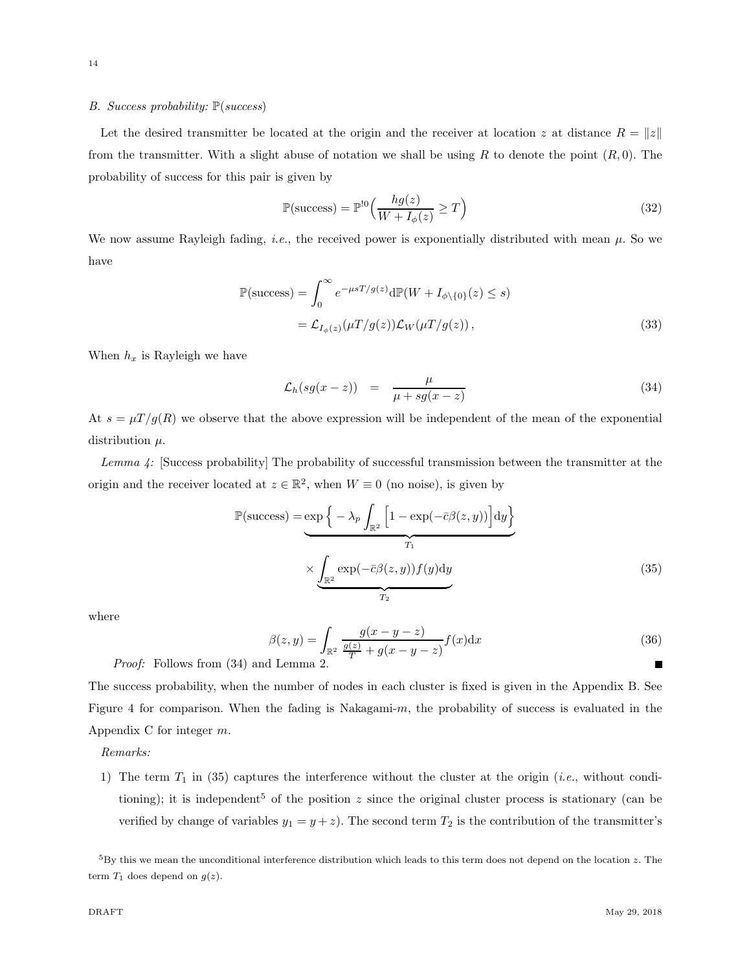# *B. Success probability:* P(*success*)

Let the desired transmitter be located at the origin and the receiver at location z at distance  $R = ||z||$ from the transmitter. With a slight abuse of notation we shall be using R to denote the point  $(R, 0)$ . The probability of success for this pair is given by

$$
\mathbb{P}(\text{success}) = \mathbb{P}^{!0}\left(\frac{hg(z)}{W + I_{\phi}(z)} \ge T\right)
$$
\n(32)

We now assume Rayleigh fading, *i.e.*, the received power is exponentially distributed with mean  $\mu$ . So we have

$$
\mathbb{P}(\text{success}) = \int_0^\infty e^{-\mu s T/g(z)} d\mathbb{P}(W + I_{\phi \setminus \{0\}}(z) \le s)
$$
  
=  $\mathcal{L}_{I_{\phi}(z)}(\mu T/g(z)) \mathcal{L}_W(\mu T/g(z)),$  (33)

When  $h_x$  is Rayleigh we have

$$
\mathcal{L}_h(sg(x-z)) = \frac{\mu}{\mu + sg(x-z)} \tag{34}
$$

At  $s = \mu T/g(R)$  we observe that the above expression will be independent of the mean of the exponential distribution  $\mu$ .

*Lemma 4:* [Success probability] The probability of successful transmission between the transmitter at the origin and the receiver located at  $z \in \mathbb{R}^2$ , when  $W \equiv 0$  (no noise), is given by

$$
\mathbb{P}(\text{success}) = \underbrace{\exp\left\{-\lambda_p \int_{\mathbb{R}^2} \left[1 - \exp(-\bar{c}\beta(z, y))\right] dy\right\}}_{T_1}
$$
\n
$$
\times \underbrace{\int_{\mathbb{R}^2} \exp(-\bar{c}\beta(z, y)) f(y) dy}_{T_2}
$$
\n(35)

where

$$
\beta(z,y) = \int_{\mathbb{R}^2} \frac{g(x-y-z)}{\frac{g(z)}{T} + g(x-y-z)} f(x) dx
$$
\n(d) Lemma 2

*Proof:* Follows from (34) and Lemma 2.

The success probability, when the number of nodes in each cluster is fixed is given in the Appendix B. See Figure 4 for comparison. When the fading is Nakagami-m, the probability of success is evaluated in the Appendix C for integer m.

*Remarks:*

1) The term  $T_1$  in (35) captures the interference without the cluster at the origin (*i.e.*, without conditioning); it is independent<sup>5</sup> of the position  $z$  since the original cluster process is stationary (can be verified by change of variables  $y_1 = y + z$ ). The second term  $T_2$  is the contribution of the transmitter's

 ${}^{5}$ By this we mean the unconditional interference distribution which leads to this term does not depend on the location z. The term  $T_1$  does depend on  $g(z)$ .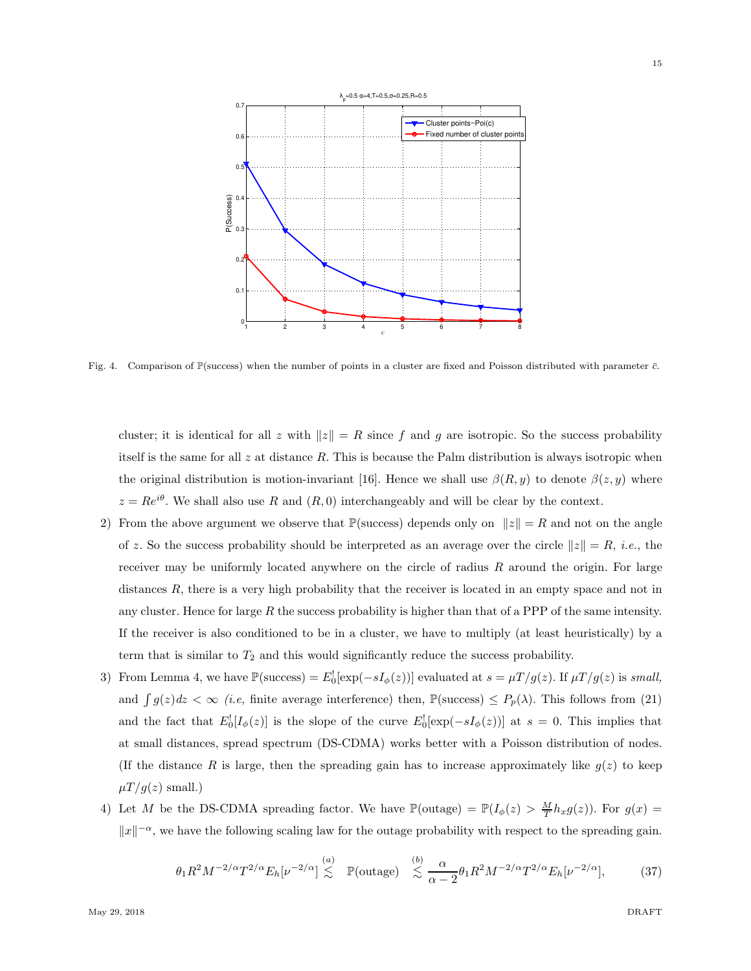

Fig. 4. Comparison of P(success) when the number of points in a cluster are fixed and Poisson distributed with parameter  $\bar{c}$ .

cluster; it is identical for all z with  $||z|| = R$  since f and g are isotropic. So the success probability itself is the same for all  $z$  at distance  $R$ . This is because the Palm distribution is always isotropic when the original distribution is motion-invariant [16]. Hence we shall use  $\beta(R, y)$  to denote  $\beta(z, y)$  where  $z = Re^{i\theta}$ . We shall also use R and  $(R, 0)$  interchangeably and will be clear by the context.

- 2) From the above argument we observe that  $\mathbb{P}(\text{success})$  depends only on  $||z|| = R$  and not on the angle of z. So the success probability should be interpreted as an average over the circle  $||z|| = R$ , *i.e.*, the receiver may be uniformly located anywhere on the circle of radius  $R$  around the origin. For large distances R, there is a very high probability that the receiver is located in an empty space and not in any cluster. Hence for large  $R$  the success probability is higher than that of a PPP of the same intensity. If the receiver is also conditioned to be in a cluster, we have to multiply (at least heuristically) by a term that is similar to  $T_2$  and this would significantly reduce the success probability.
- 3) From Lemma 4, we have  $\mathbb{P}(\text{success}) = E_0^{\dagger}[\exp(-sI_{\phi}(z))]$  evaluated at  $s = \mu T/g(z)$ . If  $\mu T/g(z)$  is *small*, and  $\int g(z)dz < \infty$  *(i.e,* finite average interference) then,  $\mathbb{P}(\text{success}) \le P_p(\lambda)$ . This follows from (21) and the fact that  $E_0'[I_\phi(z)]$  is the slope of the curve  $E_0'[\exp(-sI_\phi(z))]$  at  $s=0$ . This implies that at small distances, spread spectrum (DS-CDMA) works better with a Poisson distribution of nodes. (If the distance R is large, then the spreading gain has to increase approximately like  $g(z)$  to keep  $\mu T/g(z)$  small.)
- 4) Let M be the DS-CDMA spreading factor. We have  $\mathbb{P}(\text{outage}) = \mathbb{P}(I_{\phi}(z) > \frac{M}{T} h_x g(z))$ . For  $g(x) =$  $||x||^{-\alpha}$ , we have the following scaling law for the outage probability with respect to the spreading gain.

$$
\theta_1 R^2 M^{-2/\alpha} T^{2/\alpha} E_h[\nu^{-2/\alpha}] \stackrel{(a)}{\lesssim} \mathbb{P}(\text{outage}) \stackrel{(b)}{\lesssim} \frac{\alpha}{\alpha - 2} \theta_1 R^2 M^{-2/\alpha} T^{2/\alpha} E_h[\nu^{-2/\alpha}],\tag{37}
$$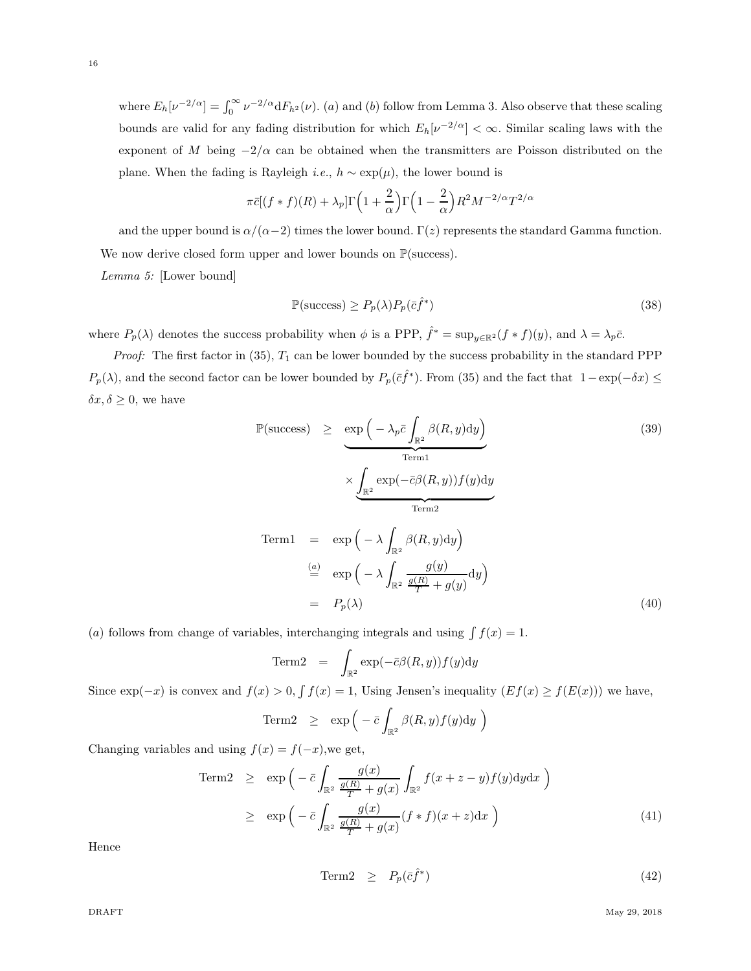16

where  $E_h[\nu^{-2/\alpha}] = \int_0^\infty \nu^{-2/\alpha} dF_{h^2}(\nu)$ . (a) and (b) follow from Lemma 3. Also observe that these scaling bounds are valid for any fading distribution for which  $E_h[\nu^{-2/\alpha}] < \infty$ . Similar scaling laws with the exponent of M being  $-2/\alpha$  can be obtained when the transmitters are Poisson distributed on the plane. When the fading is Rayleigh *i.e.*,  $h \sim \exp(\mu)$ , the lower bound is

$$
\pi \bar{c}[(f*f)(R) + \lambda_p] \Gamma\left(1 + \frac{2}{\alpha}\right) \Gamma\left(1 - \frac{2}{\alpha}\right) R^2 M^{-2/\alpha} T^{2/\alpha}
$$

and the upper bound is  $\alpha/(\alpha-2)$  times the lower bound. Γ(z) represents the standard Gamma function. We now derive closed form upper and lower bounds on  $\mathbb{P}(\text{success})$ . *Lemma 5:* [Lower bound]

$$
\mathbb{P}(\text{success}) \ge P_p(\lambda) P_p(\bar{c}\hat{f}^*)
$$
\n(38)

where  $P_p(\lambda)$  denotes the success probability when  $\phi$  is a PPP,  $\hat{f}^* = \sup_{y \in \mathbb{R}^2} (f * f)(y)$ , and  $\lambda = \lambda_p \bar{c}$ .

*Proof:* The first factor in  $(35)$ ,  $T_1$  can be lower bounded by the success probability in the standard PPP  $P_p(\lambda)$ , and the second factor can be lower bounded by  $P_p(\bar{c}f^*)$ . From (35) and the fact that  $1-\exp(-\delta x) \le$  $\delta x, \delta \geq 0$ , we have

$$
\mathbb{P}(\text{success}) \ge \underbrace{\exp\left(-\lambda_p \bar{c} \int_{\mathbb{R}^2} \beta(R, y) dy\right)}_{\text{Term1}} \times \underbrace{\int_{\mathbb{R}^2} \exp(-\bar{c}\beta(R, y)) f(y) dy}_{\text{Term2}}
$$
\n
$$
\text{Term1} = \exp\left(-\lambda \int_{\mathbb{R}^2} \beta(R, y) dy\right)
$$
\n
$$
\stackrel{(a)}{=} \exp\left(-\lambda \int_{\mathbb{R}^2} \frac{g(y)}{\frac{g(R)}{T} + g(y)} dy\right)
$$
\n
$$
= P_p(\lambda) \tag{40}
$$

(a) follows from change of variables, interchanging integrals and using  $\int f(x) = 1$ .

Term2 = 
$$
\int_{\mathbb{R}^2} \exp(-\bar{c}\beta(R, y)) f(y) dy
$$

Since  $\exp(-x)$  is convex and  $f(x) > 0$ ,  $\int f(x) = 1$ , Using Jensen's inequality  $(Ef(x) \ge f(E(x)))$  we have,

Term2 
$$
\geq
$$
 exp  $\left(-\bar{c} \int_{\mathbb{R}^2} \beta(R, y) f(y) dy\right)$ 

Changing variables and using  $f(x) = f(-x)$ , we get,

Term2 
$$
\geq \exp\left(-\bar{c} \int_{\mathbb{R}^2} \frac{g(x)}{\frac{g(R)}{T} + g(x)} \int_{\mathbb{R}^2} f(x+z-y)f(y)dydx\right)
$$
  
\n $\geq \exp\left(-\bar{c} \int_{\mathbb{R}^2} \frac{g(x)}{\frac{g(R)}{T} + g(x)} (f*f)(x+z)dx\right)$  (41)

Hence

$$
\text{Term2} \quad \geq \quad P_p(\bar{c}\hat{f}^*) \tag{42}
$$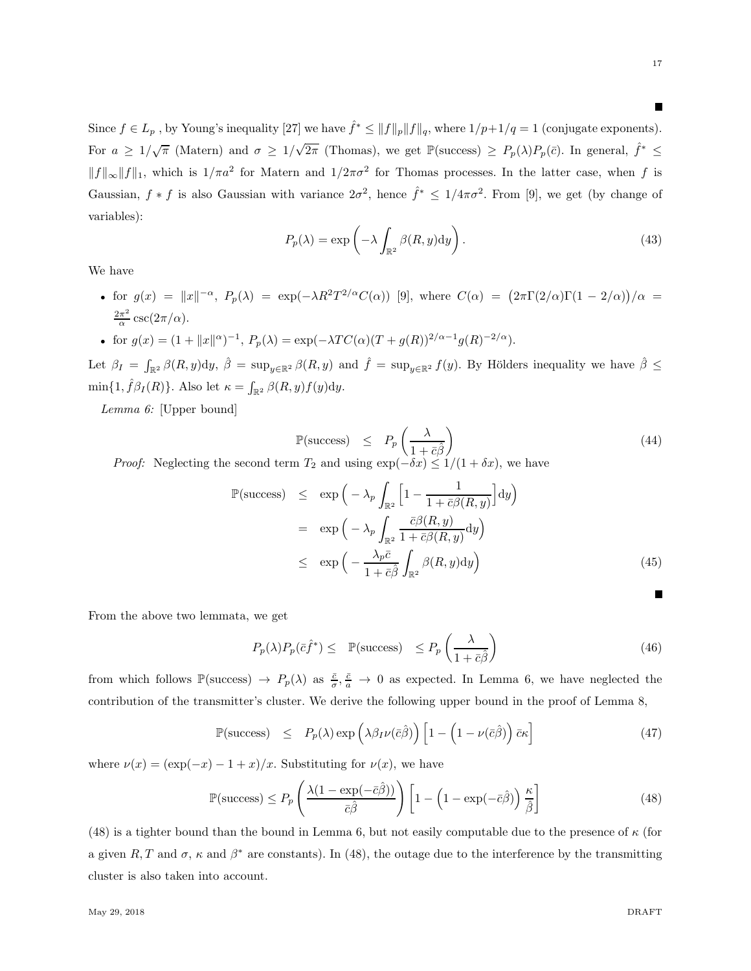Since  $f \in L_p$ , by Young's inequality [27] we have  $\hat{f}^* \leq ||f||_p ||f||_q$ , where  $1/p+1/q = 1$  (conjugate exponents). For  $a \geq 1/\sqrt{\pi}$  (Matern) and  $\sigma \geq 1/\sqrt{2\pi}$  (Thomas), we get  $\mathbb{P}(\text{success}) \geq P_p(\lambda)P_p(\bar{c})$ . In general,  $\hat{f}^* \leq$  $||f||_{\infty}||f||_1$ , which is  $1/\pi a^2$  for Matern and  $1/2\pi\sigma^2$  for Thomas processes. In the latter case, when f is Gaussian,  $f * f$  is also Gaussian with variance  $2\sigma^2$ , hence  $\hat{f}^* \leq 1/4\pi\sigma^2$ . From [9], we get (by change of variables):

$$
P_p(\lambda) = \exp\left(-\lambda \int_{\mathbb{R}^2} \beta(R, y) dy\right).
$$
 (43)

We have

- for  $g(x) = ||x||^{-\alpha}$ ,  $P_p(\lambda) = \exp(-\lambda R^2 T^{2/\alpha} C(\alpha))$  [9], where  $C(\alpha) = (2\pi \Gamma(2/\alpha) \Gamma(1 2/\alpha))/\alpha =$  $2\pi^2$  $\frac{\pi^2}{\alpha} \csc(2\pi/\alpha).$
- for  $g(x) = (1 + ||x||^{\alpha})^{-1}$ ,  $P_p(\lambda) = \exp(-\lambda TC(\alpha)(T + g(R))^{2/\alpha 1}g(R)^{-2/\alpha})$ .

Let  $\beta_I = \int_{\mathbb{R}^2} \beta(R, y) dy$ ,  $\hat{\beta} = \sup_{y \in \mathbb{R}^2} \beta(R, y)$  and  $\hat{f} = \sup_{y \in \mathbb{R}^2} f(y)$ . By Hölders inequality we have  $\hat{\beta} \leq$  $\min\{1, \hat{f}\beta_I(R)\}\$ . Also let  $\kappa = \int_{\mathbb{R}^2} \beta(R, y)f(y)dy$ .

*Lemma 6:* [Upper bound]

$$
\mathbb{P}(\text{success}) \le P_p\left(\frac{\lambda}{1+\bar{c}\hat{\beta}}\right) \tag{44}
$$

*Proof:* Neglecting the second term  $T_2$  and using  $\exp(-\delta x) \leq 1/(1 + \delta x)$ , we have

$$
\mathbb{P}(\text{success}) \le \exp\left(-\lambda_p \int_{\mathbb{R}^2} \left[1 - \frac{1}{1 + \bar{c}\beta(R, y)}\right] dy\right)
$$
  
\n
$$
= \exp\left(-\lambda_p \int_{\mathbb{R}^2} \frac{\bar{c}\beta(R, y)}{1 + \bar{c}\beta(R, y)} dy\right)
$$
  
\n
$$
\le \exp\left(-\frac{\lambda_p \bar{c}}{1 + \bar{c}\beta} \int_{\mathbb{R}^2} \beta(R, y) dy\right)
$$
(45)

From the above two lemmata, we get

$$
P_p(\lambda)P_p(\bar{c}\hat{f}^*) \le \mathbb{P}(\text{success}) \le P_p\left(\frac{\lambda}{1+\bar{c}\hat{\beta}}\right) \tag{46}
$$

from which follows  $\mathbb{P}(\text{success}) \to P_p(\lambda)$  as  $\frac{\bar{c}}{\sigma}, \frac{\bar{c}}{a} \to 0$  as expected. In Lemma 6, we have neglected the contribution of the transmitter's cluster. We derive the following upper bound in the proof of Lemma 8,

$$
\mathbb{P}(\text{success}) \leq P_p(\lambda) \exp\left(\lambda \beta_I \nu(\bar{c}\hat{\beta})\right) \left[1 - \left(1 - \nu(\bar{c}\hat{\beta})\right) \bar{c}\kappa\right]
$$
(47)

where  $\nu(x) = (\exp(-x) - 1 + x)/x$ . Substituting for  $\nu(x)$ , we have

$$
\mathbb{P}(\text{success}) \le P_p \left( \frac{\lambda (1 - \exp(-\bar{c}\hat{\beta}))}{\bar{c}\hat{\beta}} \right) \left[ 1 - \left( 1 - \exp(-\bar{c}\hat{\beta}) \right) \frac{\kappa}{\hat{\beta}} \right]
$$
(48)

(48) is a tighter bound than the bound in Lemma 6, but not easily computable due to the presence of  $\kappa$  (for a given R, T and  $\sigma$ ,  $\kappa$  and  $\beta^*$  are constants). In (48), the outage due to the interference by the transmitting cluster is also taken into account.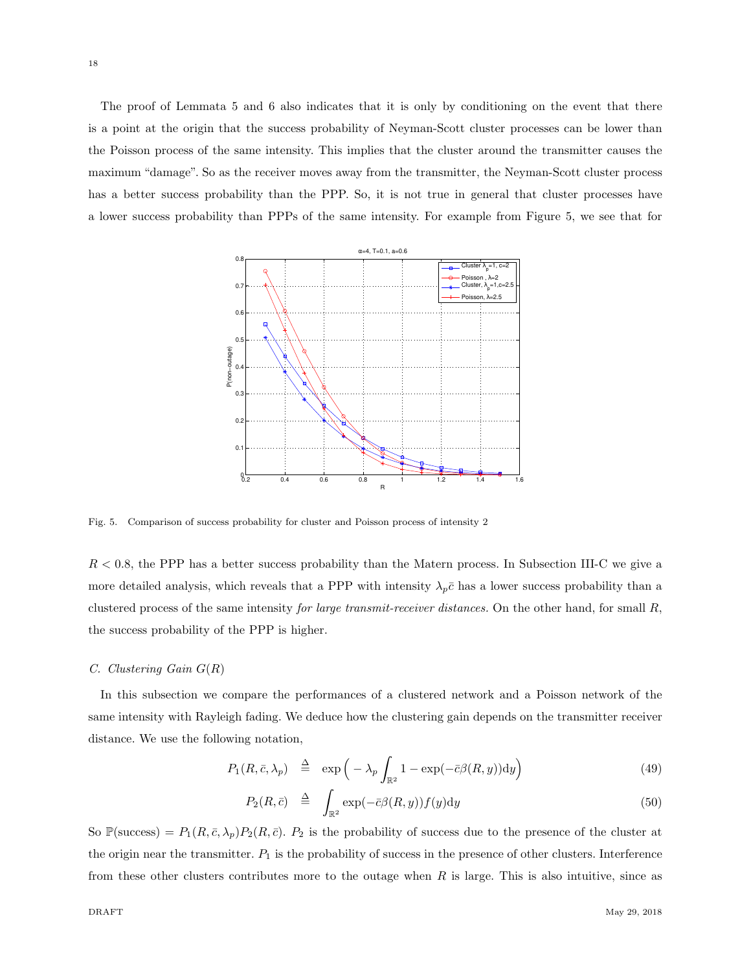The proof of Lemmata 5 and 6 also indicates that it is only by conditioning on the event that there is a point at the origin that the success probability of Neyman-Scott cluster processes can be lower than the Poisson process of the same intensity. This implies that the cluster around the transmitter causes the maximum "damage". So as the receiver moves away from the transmitter, the Neyman-Scott cluster process has a better success probability than the PPP. So, it is not true in general that cluster processes have a lower success probability than PPPs of the same intensity. For example from Figure 5, we see that for



Fig. 5. Comparison of success probability for cluster and Poisson process of intensity 2

 $R < 0.8$ , the PPP has a better success probability than the Matern process. In Subsection III-C we give a more detailed analysis, which reveals that a PPP with intensity  $\lambda_p \bar{c}$  has a lower success probability than a clustered process of the same intensity *for large transmit-receiver distances.* On the other hand, for small R, the success probability of the PPP is higher.

#### *C. Clustering Gain* G(R)

In this subsection we compare the performances of a clustered network and a Poisson network of the same intensity with Rayleigh fading. We deduce how the clustering gain depends on the transmitter receiver distance. We use the following notation,

$$
P_1(R, \bar{c}, \lambda_p) \stackrel{\Delta}{=} \exp\left(-\lambda_p \int_{\mathbb{R}^2} 1 - \exp(-\bar{c}\beta(R, y)) dy\right)
$$
 (49)

$$
P_2(R, \bar{c}) \quad \stackrel{\Delta}{=} \quad \int_{\mathbb{R}^2} \exp(-\bar{c}\beta(R, y)) f(y) \mathrm{d}y \tag{50}
$$

So  $\mathbb{P}(\text{success}) = P_1(R, \bar{c}, \lambda_p) P_2(R, \bar{c})$ .  $P_2$  is the probability of success due to the presence of the cluster at the origin near the transmitter.  $P_1$  is the probability of success in the presence of other clusters. Interference from these other clusters contributes more to the outage when  $R$  is large. This is also intuitive, since as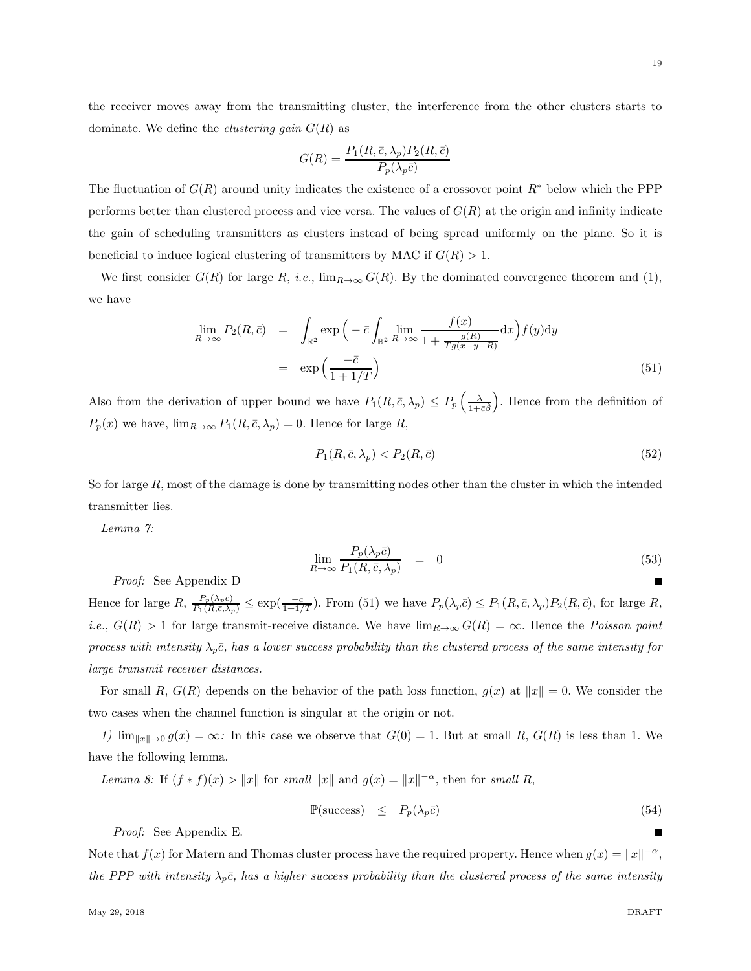the receiver moves away from the transmitting cluster, the interference from the other clusters starts to dominate. We define the *clustering gain* G(R) as

$$
G(R) = \frac{P_1(R, \bar{c}, \lambda_p) P_2(R, \bar{c})}{P_p(\lambda_p \bar{c})}
$$

The fluctuation of  $G(R)$  around unity indicates the existence of a crossover point  $R^*$  below which the PPP performs better than clustered process and vice versa. The values of  $G(R)$  at the origin and infinity indicate the gain of scheduling transmitters as clusters instead of being spread uniformly on the plane. So it is beneficial to induce logical clustering of transmitters by MAC if  $G(R) > 1$ .

We first consider  $G(R)$  for large R, *i.e.*,  $\lim_{R\to\infty} G(R)$ . By the dominated convergence theorem and (1), we have

$$
\lim_{R \to \infty} P_2(R, \bar{c}) = \int_{\mathbb{R}^2} \exp\left(-\bar{c} \int_{\mathbb{R}^2} \lim_{R \to \infty} \frac{f(x)}{1 + \frac{g(R)}{Tg(x - y - R)}} dx\right) f(y) dy
$$
\n
$$
= \exp\left(\frac{-\bar{c}}{1 + 1/T}\right) \tag{51}
$$

Also from the derivation of upper bound we have  $P_1(R, \bar{c}, \lambda_p) \le P_p\left(\frac{\lambda}{1+\bar{c}\hat{\beta}}\right)$  . Hence from the definition of  $P_p(x)$  we have,  $\lim_{R\to\infty} P_1(R,\bar{c},\lambda_p) = 0$ . Hence for large R,

$$
P_1(R, \bar{c}, \lambda_p) < P_2(R, \bar{c}) \tag{52}
$$

So for large  $R$ , most of the damage is done by transmitting nodes other than the cluster in which the intended transmitter lies.

*Lemma 7:*

$$
\lim_{R \to \infty} \frac{P_p(\lambda_p \bar{c})}{P_1(R, \bar{c}, \lambda_p)} = 0 \tag{53}
$$

*Proof:* See Appendix D

Hence for large  $R, \frac{P_p(\lambda_p \bar{c})}{P_1(R, \bar{c}, \lambda_p)} \le \exp(\frac{-\bar{c}}{1+1/T})$ . From (51) we have  $P_p(\lambda_p \bar{c}) \le P_1(R, \bar{c}, \lambda_p)P_2(R, \bar{c})$ , for large  $R$ , *i.e.*,  $G(R) > 1$  for large transmit-receive distance. We have  $\lim_{R\to\infty} G(R) = \infty$ . Hence the *Poisson point process with intensity*  $\lambda_p \bar{c}$ , has a lower success probability than the clustered process of the same intensity for *large transmit receiver distances.*

For small R,  $G(R)$  depends on the behavior of the path loss function,  $g(x)$  at  $||x|| = 0$ . We consider the two cases when the channel function is singular at the origin or not.

*1)*  $\lim_{\|x\| \to 0} g(x) = \infty$ *:* In this case we observe that  $G(0) = 1$ . But at small R,  $G(R)$  is less than 1. We have the following lemma.

*Lemma 8:* If  $(f * f)(x) > ||x||$  for *small*  $||x||$  and  $g(x) = ||x||^{-\alpha}$ , then for *small* R,

$$
\mathbb{P}(\text{success}) \le P_p(\lambda_p \bar{c}) \tag{54}
$$

*Proof:* See Appendix E.

Note that  $f(x)$  for Matern and Thomas cluster process have the required property. Hence when  $g(x) = ||x||^{-\alpha}$ , *the PPP with intensity*  $\lambda_p \bar{c}$ , has a higher success probability than the clustered process of the same intensity

Г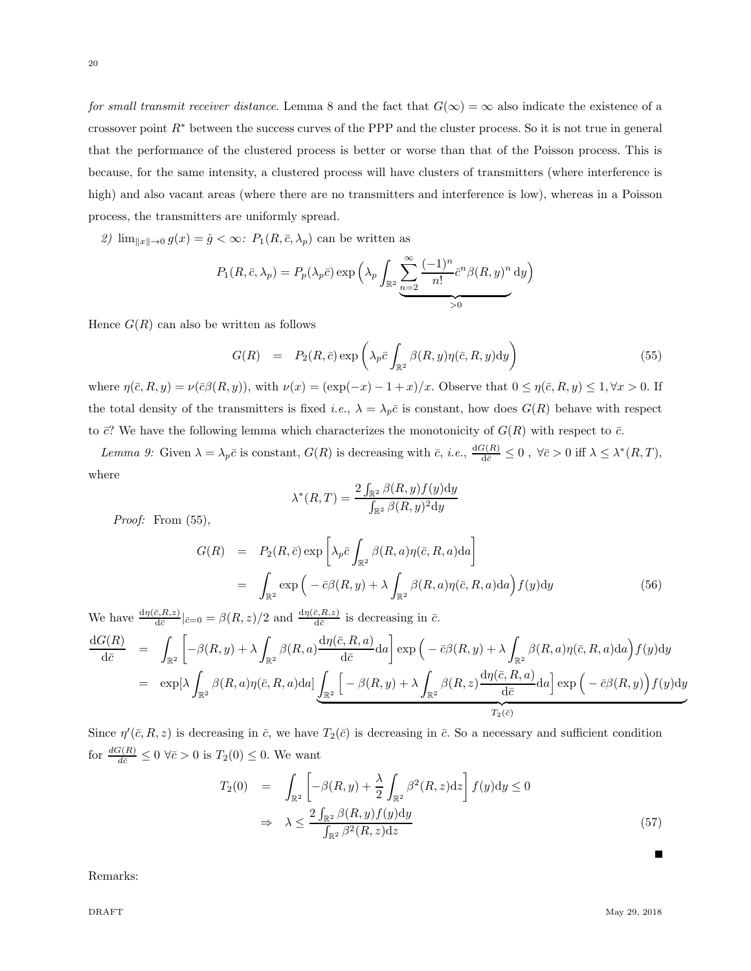20

*for small transmit receiver distance*. Lemma 8 and the fact that  $G(\infty) = \infty$  also indicate the existence of a crossover point R<sup>∗</sup> between the success curves of the PPP and the cluster process. So it is not true in general that the performance of the clustered process is better or worse than that of the Poisson process. This is because, for the same intensity, a clustered process will have clusters of transmitters (where interference is high) and also vacant areas (where there are no transmitters and interference is low), whereas in a Poisson process, the transmitters are uniformly spread.

2)  $\lim_{\|x\| \to 0} g(x) = \hat{g} < \infty$ :  $P_1(R, \bar{c}, \lambda_p)$  can be written as

$$
P_1(R, \bar{c}, \lambda_p) = P_p(\lambda_p \bar{c}) \exp \left( \lambda_p \int_{\mathbb{R}^2} \sum_{n=2}^{\infty} \frac{(-1)^n}{n!} \bar{c}^n \beta(R, y)^n dy \right)
$$
  
>0

Hence  $G(R)$  can also be written as follows

$$
G(R) = P_2(R, \bar{c}) \exp\left(\lambda_p \bar{c} \int_{\mathbb{R}^2} \beta(R, y) \eta(\bar{c}, R, y) dy\right)
$$
(55)

where  $\eta(\bar{c}, R, y) = \nu(\bar{c}\beta(R, y))$ , with  $\nu(x) = (\exp(-x) - (1+x)/x)$ . Observe that  $0 \leq \eta(\bar{c}, R, y) \leq 1, \forall x > 0$ . If the total density of the transmitters is fixed *i.e.*,  $\lambda = \lambda_p \bar{c}$  is constant, how does  $G(R)$  behave with respect to  $\bar{c}$ ? We have the following lemma which characterizes the monotonicity of  $G(R)$  with respect to  $\bar{c}$ .

*Lemma 9:* Given  $\lambda = \lambda_p \bar{c}$  is constant,  $G(R)$  is decreasing with  $\bar{c}$ , *i.e.*,  $\frac{dG(R)}{d\bar{c}} \leq 0$ ,  $\forall \bar{c} > 0$  iff  $\lambda \leq \lambda^*(R, T)$ , where

$$
\lambda^*(R, T) = \frac{2\int_{\mathbb{R}^2} \beta(R, y) f(y) dy}{\int_{\mathbb{R}^2} \beta(R, y)^2 dy}
$$

*Proof:* From (55),

$$
G(R) = P_2(R, \bar{c}) \exp \left[ \lambda_p \bar{c} \int_{\mathbb{R}^2} \beta(R, a) \eta(\bar{c}, R, a) da \right]
$$
  
= 
$$
\int_{\mathbb{R}^2} \exp \left( -\bar{c} \beta(R, y) + \lambda \int_{\mathbb{R}^2} \beta(R, a) \eta(\bar{c}, R, a) da \right) f(y) dy
$$
(56)

We have  $\frac{d\eta(\bar{c}, R, z)}{d\bar{c}}|_{\bar{c}=0} = \beta(R, z)/2$  and  $\frac{d\eta(\bar{c}, R, z)}{d\bar{c}}$  is decreasing in  $\bar{c}$ .

$$
\frac{dG(R)}{d\bar{c}} = \int_{\mathbb{R}^2} \left[ -\beta(R, y) + \lambda \int_{\mathbb{R}^2} \beta(R, a) \frac{d\eta(\bar{c}, R, a)}{d\bar{c}} da \right] \exp\left( -\bar{c}\beta(R, y) + \lambda \int_{\mathbb{R}^2} \beta(R, a)\eta(\bar{c}, R, a) da \right) f(y) dy
$$
  
\n
$$
= \exp[\lambda \int_{\mathbb{R}^2} \beta(R, a)\eta(\bar{c}, R, a) da] \underbrace{\int_{\mathbb{R}^2} \left[ -\beta(R, y) + \lambda \int_{\mathbb{R}^2} \beta(R, z) \frac{d\eta(\bar{c}, R, a)}{d\bar{c}} da \right] \exp\left( -\bar{c}\beta(R, y) \right) f(y) dy}_{T_2(\bar{c})}
$$

Since  $\eta'(\bar{c}, R, z)$  is decreasing in  $\bar{c}$ , we have  $T_2(\bar{c})$  is decreasing in  $\bar{c}$ . So a necessary and sufficient condition for  $\frac{dG(R)}{d\bar{c}} \leq 0 \ \forall \bar{c} > 0$  is  $T_2(0) \leq 0$ . We want

$$
T_2(0) = \int_{\mathbb{R}^2} \left[ -\beta(R, y) + \frac{\lambda}{2} \int_{\mathbb{R}^2} \beta^2(R, z) dz \right] f(y) dy \le 0
$$
  

$$
\Rightarrow \lambda \le \frac{2 \int_{\mathbb{R}^2} \beta(R, y) f(y) dy}{\int_{\mathbb{R}^2} \beta^2(R, z) dz}
$$
(57)

Remarks: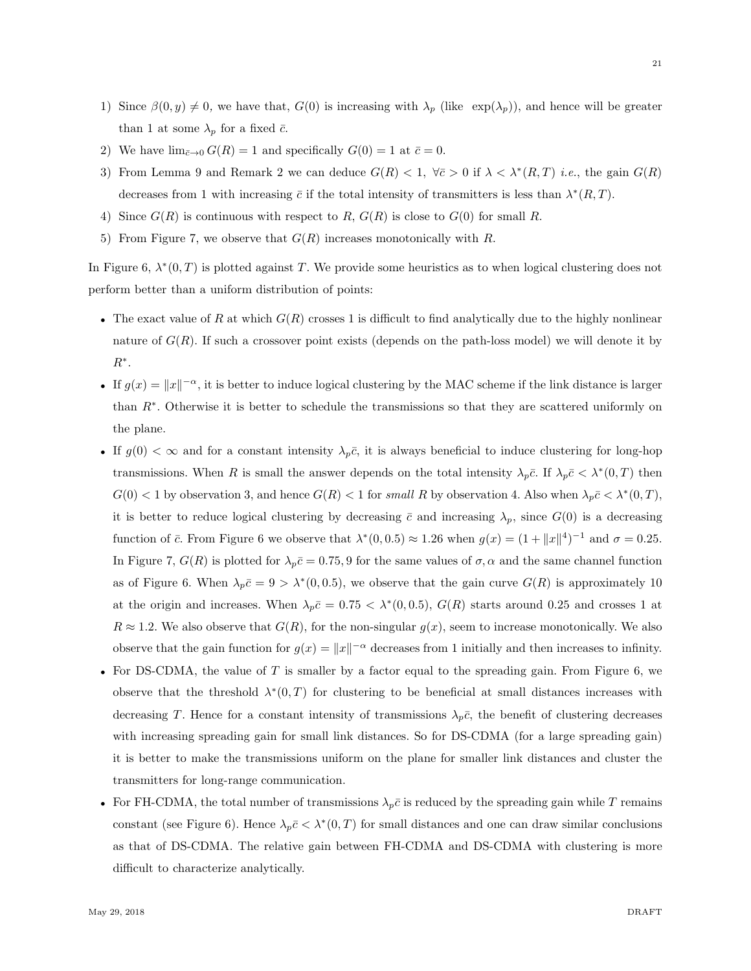- 1) Since  $\beta(0, y) \neq 0$ , we have that,  $G(0)$  is increasing with  $\lambda_p$  (like  $\exp(\lambda_p)$ ), and hence will be greater than 1 at some  $\lambda_p$  for a fixed  $\bar{c}$ .
- 2) We have  $\lim_{\bar{c}\to 0} G(R) = 1$  and specifically  $G(0) = 1$  at  $\bar{c} = 0$ .
- 3) From Lemma 9 and Remark 2 we can deduce  $G(R) < 1$ ,  $\forall \bar{c} > 0$  if  $\lambda < \lambda^*(R, T)$  *i.e.*, the gain  $G(R)$ decreases from 1 with increasing  $\bar{c}$  if the total intensity of transmitters is less than  $\lambda^*(R,T)$ .
- 4) Since  $G(R)$  is continuous with respect to R,  $G(R)$  is close to  $G(0)$  for small R.
- 5) From Figure 7, we observe that  $G(R)$  increases monotonically with R.

In Figure 6,  $\lambda^*(0,T)$  is plotted against T. We provide some heuristics as to when logical clustering does not perform better than a uniform distribution of points:

- The exact value of R at which  $G(R)$  crosses 1 is difficult to find analytically due to the highly nonlinear nature of  $G(R)$ . If such a crossover point exists (depends on the path-loss model) we will denote it by  $R^*$ .
- If  $g(x) = ||x||^{-\alpha}$ , it is better to induce logical clustering by the MAC scheme if the link distance is larger than R<sup>∗</sup> . Otherwise it is better to schedule the transmissions so that they are scattered uniformly on the plane.
- If  $g(0) < \infty$  and for a constant intensity  $\lambda_p \bar{c}$ , it is always beneficial to induce clustering for long-hop transmissions. When R is small the answer depends on the total intensity  $\lambda_p \bar{c}$ . If  $\lambda_p \bar{c} < \lambda^*(0,T)$  then  $G(0) < 1$  by observation 3, and hence  $G(R) < 1$  for *small* R by observation 4. Also when  $\lambda_p \bar{c} < \lambda^*(0, T)$ , it is better to reduce logical clustering by decreasing  $\bar{c}$  and increasing  $\lambda_p$ , since  $G(0)$  is a decreasing function of  $\bar{c}$ . From Figure 6 we observe that  $\lambda^*(0, 0.5) \approx 1.26$  when  $g(x) = (1 + ||x||^4)^{-1}$  and  $\sigma = 0.25$ . In Figure 7,  $G(R)$  is plotted for  $\lambda_p \bar{c} = 0.75, 9$  for the same values of  $\sigma$ ,  $\alpha$  and the same channel function as of Figure 6. When  $\lambda_p \bar{c} = 9 > \lambda^*(0, 0.5)$ , we observe that the gain curve  $G(R)$  is approximately 10 at the origin and increases. When  $\lambda_p \bar{c} = 0.75 \langle \lambda^*(0, 0.5), G(R) \rangle$  starts around 0.25 and crosses 1 at  $R \approx 1.2$ . We also observe that  $G(R)$ , for the non-singular  $g(x)$ , seem to increase monotonically. We also observe that the gain function for  $g(x) = ||x||^{-\alpha}$  decreases from 1 initially and then increases to infinity.
- For DS-CDMA, the value of T is smaller by a factor equal to the spreading gain. From Figure 6, we observe that the threshold  $\lambda^*(0,T)$  for clustering to be beneficial at small distances increases with decreasing T. Hence for a constant intensity of transmissions  $\lambda_p \bar{c}$ , the benefit of clustering decreases with increasing spreading gain for small link distances. So for DS-CDMA (for a large spreading gain) it is better to make the transmissions uniform on the plane for smaller link distances and cluster the transmitters for long-range communication.
- For FH-CDMA, the total number of transmissions  $\lambda_p \bar{c}$  is reduced by the spreading gain while T remains constant (see Figure 6). Hence  $\lambda_p \bar{c} < \lambda^*(0,T)$  for small distances and one can draw similar conclusions as that of DS-CDMA. The relative gain between FH-CDMA and DS-CDMA with clustering is more difficult to characterize analytically.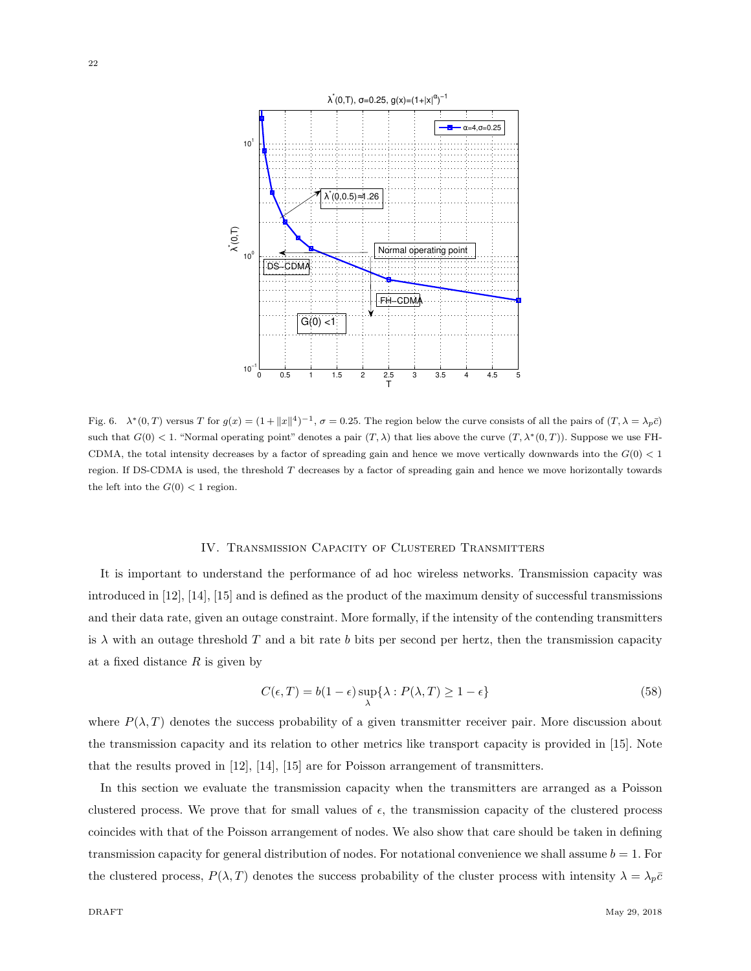

Fig. 6.  $\lambda^*(0,T)$  versus T for  $g(x) = (1 + ||x||^4)^{-1}$ ,  $\sigma = 0.25$ . The region below the curve consists of all the pairs of  $(T, \lambda = \lambda_p \bar{c})$ such that  $G(0) < 1$ . "Normal operating point" denotes a pair  $(T, \lambda)$  that lies above the curve  $(T, \lambda^*(0, T))$ . Suppose we use FH-CDMA, the total intensity decreases by a factor of spreading gain and hence we move vertically downwards into the  $G(0) < 1$ region. If DS-CDMA is used, the threshold T decreases by a factor of spreading gain and hence we move horizontally towards the left into the  $G(0) < 1$  region.

#### IV. Transmission Capacity of Clustered Transmitters

It is important to understand the performance of ad hoc wireless networks. Transmission capacity was introduced in [12], [14], [15] and is defined as the product of the maximum density of successful transmissions and their data rate, given an outage constraint. More formally, if the intensity of the contending transmitters is  $\lambda$  with an outage threshold T and a bit rate b bits per second per hertz, then the transmission capacity at a fixed distance  $R$  is given by

$$
C(\epsilon, T) = b(1 - \epsilon) \sup_{\lambda} \{ \lambda : P(\lambda, T) \ge 1 - \epsilon \}
$$
\n(58)

where  $P(\lambda, T)$  denotes the success probability of a given transmitter receiver pair. More discussion about the transmission capacity and its relation to other metrics like transport capacity is provided in [15]. Note that the results proved in [12], [14], [15] are for Poisson arrangement of transmitters.

In this section we evaluate the transmission capacity when the transmitters are arranged as a Poisson clustered process. We prove that for small values of  $\epsilon$ , the transmission capacity of the clustered process coincides with that of the Poisson arrangement of nodes. We also show that care should be taken in defining transmission capacity for general distribution of nodes. For notational convenience we shall assume  $b = 1$ . For the clustered process,  $P(\lambda, T)$  denotes the success probability of the cluster process with intensity  $\lambda = \lambda_p \bar{c}$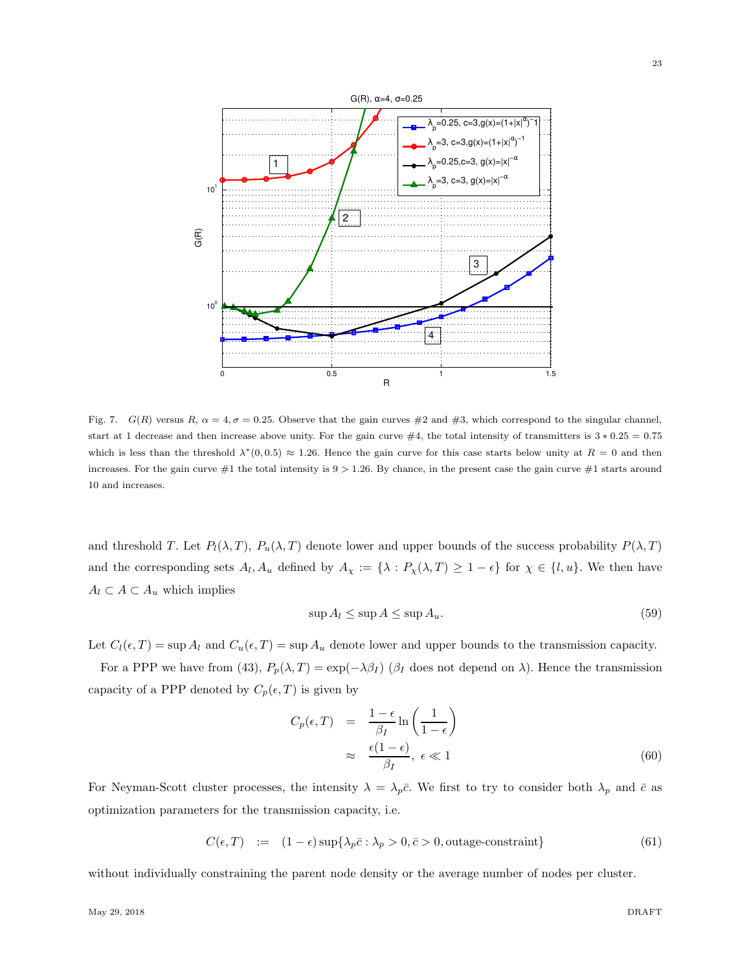

Fig. 7.  $G(R)$  versus  $R, \alpha = 4, \sigma = 0.25$ . Observe that the gain curves  $\#2$  and  $\#3$ , which correspond to the singular channel, start at 1 decrease and then increase above unity. For the gain curve  $#4$ , the total intensity of transmitters is  $3 * 0.25 = 0.75$ which is less than the threshold  $\lambda^*(0,0.5) \approx 1.26$ . Hence the gain curve for this case starts below unity at  $R = 0$  and then increases. For the gain curve  $#1$  the total intensity is  $9 > 1.26$ . By chance, in the present case the gain curve  $#1$  starts around 10 and increases.

and threshold T. Let  $P_l(\lambda, T)$ ,  $P_u(\lambda, T)$  denote lower and upper bounds of the success probability  $P(\lambda, T)$ and the corresponding sets  $A_l$ ,  $A_u$  defined by  $A_\chi := \{\lambda : P_\chi(\lambda, T) \geq 1 - \epsilon\}$  for  $\chi \in \{l, u\}$ . We then have  $A_l \subset A \subset A_u$  which implies

$$
\sup A_l \le \sup A \le \sup A_u. \tag{59}
$$

Let  $C_l(\epsilon, T) = \sup A_l$  and  $C_u(\epsilon, T) = \sup A_u$  denote lower and upper bounds to the transmission capacity.

For a PPP we have from (43),  $P_p(\lambda, T) = \exp(-\lambda \beta_I)$  ( $\beta_I$  does not depend on  $\lambda$ ). Hence the transmission capacity of a PPP denoted by  $C_p(\epsilon, T)$  is given by

$$
C_p(\epsilon, T) = \frac{1 - \epsilon}{\beta_I} \ln\left(\frac{1}{1 - \epsilon}\right)
$$
  

$$
\approx \frac{\epsilon(1 - \epsilon)}{\beta_I}, \epsilon \ll 1
$$
 (60)

For Neyman-Scott cluster processes, the intensity  $\lambda = \lambda_p \bar{c}$ . We first to try to consider both  $\lambda_p$  and  $\bar{c}$  as optimization parameters for the transmission capacity, i.e.

$$
C(\epsilon, T) := (1 - \epsilon) \sup \{ \lambda_p \bar{c} : \lambda_p > 0, \bar{c} > 0, \text{outage-constraint} \}
$$
 (61)

without individually constraining the parent node density or the average number of nodes per cluster.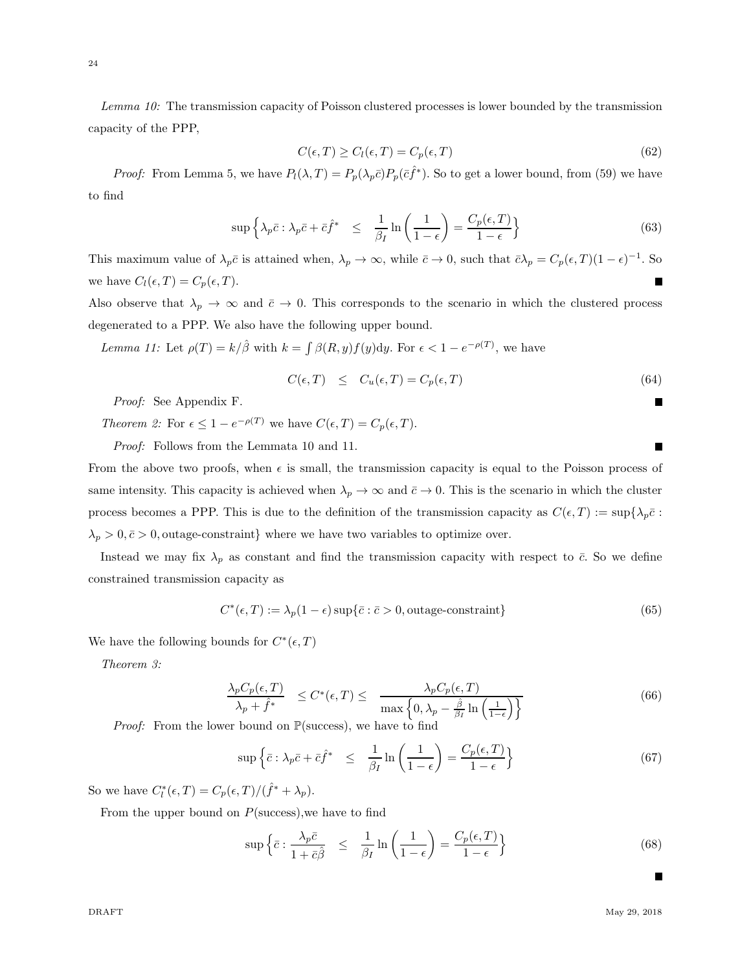*Lemma 10:* The transmission capacity of Poisson clustered processes is lower bounded by the transmission capacity of the PPP,

$$
C(\epsilon, T) \ge C_l(\epsilon, T) = C_p(\epsilon, T)
$$
\n(62)

*Proof:* From Lemma 5, we have  $P_l(\lambda, T) = P_p(\lambda_p \bar{c}) P_p(\bar{c} \hat{f}^*)$ . So to get a lower bound, from (59) we have to find

$$
\sup \left\{ \lambda_p \bar{c} : \lambda_p \bar{c} + \bar{c} \hat{f}^* \right\} \leq \frac{1}{\beta_I} \ln \left( \frac{1}{1 - \epsilon} \right) = \frac{C_p(\epsilon, T)}{1 - \epsilon} \right\} \tag{63}
$$

This maximum value of  $\lambda_p \bar{c}$  is attained when,  $\lambda_p \to \infty$ , while  $\bar{c} \to 0$ , such that  $\bar{c} \lambda_p = C_p(\epsilon, T) (1 - \epsilon)^{-1}$ . So we have  $C_l(\epsilon, T) = C_p(\epsilon, T)$ .

Also observe that  $\lambda_p \to \infty$  and  $\bar{c} \to 0$ . This corresponds to the scenario in which the clustered process degenerated to a PPP. We also have the following upper bound.

*Lemma 11:* Let  $\rho(T) = k/\hat{\beta}$  with  $k = \int \beta(R, y) f(y) dy$ . For  $\epsilon < 1 - e^{-\rho(T)}$ , we have

$$
C(\epsilon, T) \leq C_u(\epsilon, T) = C_p(\epsilon, T) \tag{64}
$$

*Proof:* See Appendix F.

*Theorem 2:* For  $\epsilon \leq 1 - e^{-\rho(T)}$  we have  $C(\epsilon, T) = C_p(\epsilon, T)$ .

*Proof:* Follows from the Lemmata 10 and 11.

From the above two proofs, when  $\epsilon$  is small, the transmission capacity is equal to the Poisson process of same intensity. This capacity is achieved when  $\lambda_p \to \infty$  and  $\bar{c} \to 0$ . This is the scenario in which the cluster process becomes a PPP. This is due to the definition of the transmission capacity as  $C(\epsilon, T) := \sup\{\lambda_p \bar{c} :$  $\lambda_p > 0, \bar{c} > 0$ , outage-constraint} where we have two variables to optimize over.

Instead we may fix  $\lambda_p$  as constant and find the transmission capacity with respect to  $\bar{c}$ . So we define constrained transmission capacity as

$$
C^*(\epsilon, T) := \lambda_p (1 - \epsilon) \sup \{ \bar{c} : \bar{c} > 0, \text{outage-constraint} \}
$$
 (65)

We have the following bounds for  $C^*(\epsilon,T)$ 

*Theorem 3:*

$$
\frac{\lambda_p C_p(\epsilon, T)}{\lambda_p + \hat{f}^*} \le C^*(\epsilon, T) \le \frac{\lambda_p C_p(\epsilon, T)}{\max\left\{0, \lambda_p - \frac{\hat{\beta}}{\beta_I} \ln\left(\frac{1}{1-\epsilon}\right)\right\}}\n\tag{66}
$$

*Proof:* From the lower bound on  $\mathbb{P}(\text{success})$ , we have to find

$$
\sup \left\{ \bar{c} : \lambda_p \bar{c} + \bar{c} \hat{f}^* \le \frac{1}{\beta_I} \ln \left( \frac{1}{1 - \epsilon} \right) = \frac{C_p(\epsilon, T)}{1 - \epsilon} \right\} \tag{67}
$$

So we have  $C_l^*(\epsilon, T) = C_p(\epsilon, T) / (\hat{f}^* + \lambda_p).$ 

From the upper bound on  $P$ (success), we have to find

$$
\sup \left\{ \bar{c} : \frac{\lambda_p \bar{c}}{1 + \bar{c}\hat{\beta}} \leq \frac{1}{\beta_I} \ln \left( \frac{1}{1 - \epsilon} \right) = \frac{C_p(\epsilon, T)}{1 - \epsilon} \right\}
$$
(68)

П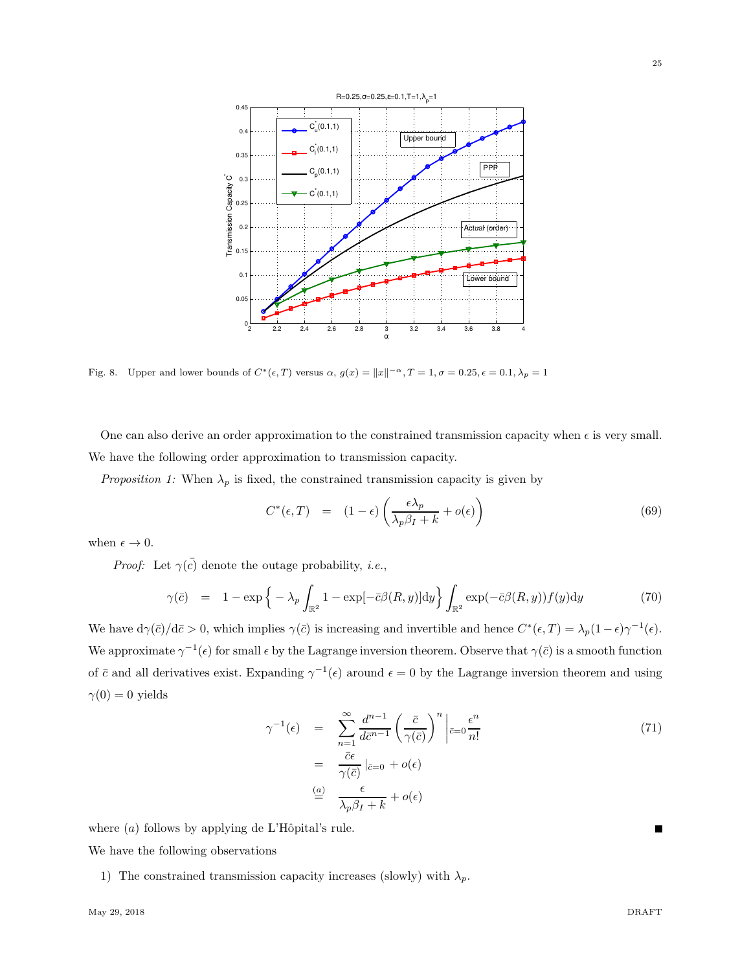

Fig. 8. Upper and lower bounds of  $C^*(\epsilon, T)$  versus  $\alpha$ ,  $g(x) = ||x||^{-\alpha}$ ,  $T = 1$ ,  $\sigma = 0.25$ ,  $\epsilon = 0.1$ ,  $\lambda_p = 1$ 

One can also derive an order approximation to the constrained transmission capacity when  $\epsilon$  is very small. We have the following order approximation to transmission capacity.

*Proposition 1:* When  $\lambda_p$  is fixed, the constrained transmission capacity is given by

$$
C^*(\epsilon, T) = (1 - \epsilon) \left( \frac{\epsilon \lambda_p}{\lambda_p \beta_I + k} + o(\epsilon) \right)
$$
\n(69)

when  $\epsilon \to 0$ .

*Proof:* Let  $\gamma(\bar{c})$  denote the outage probability, *i.e.*,

$$
\gamma(\bar{c}) = 1 - \exp\left\{-\lambda_p \int_{\mathbb{R}^2} 1 - \exp[-\bar{c}\beta(R, y)] \mathrm{d}y\right\} \int_{\mathbb{R}^2} \exp(-\bar{c}\beta(R, y)) f(y) \mathrm{d}y \tag{70}
$$

We have  $d\gamma(\bar{c})/d\bar{c} > 0$ , which implies  $\gamma(\bar{c})$  is increasing and invertible and hence  $C^*(\epsilon,T) = \lambda_p(1-\epsilon)\gamma^{-1}(\epsilon)$ . We approximate  $\gamma^{-1}(\epsilon)$  for small  $\epsilon$  by the Lagrange inversion theorem. Observe that  $\gamma(\bar{c})$  is a smooth function of  $\bar{c}$  and all derivatives exist. Expanding  $\gamma^{-1}(\epsilon)$  around  $\epsilon = 0$  by the Lagrange inversion theorem and using  $\gamma(0) = 0$  yields

$$
\gamma^{-1}(\epsilon) = \sum_{n=1}^{\infty} \frac{d^{n-1}}{d\bar{c}^{n-1}} \left(\frac{\bar{c}}{\gamma(\bar{c})}\right)^n \left|_{\bar{c}=0} \frac{\epsilon^n}{n!} \right|
$$
  

$$
= \frac{\bar{c}\epsilon}{\gamma(\bar{c})} \left|_{\bar{c}=0} + o(\epsilon) \right|
$$
  

$$
\stackrel{(a)}{=} \frac{\epsilon}{\lambda_p \beta_I + k} + o(\epsilon)
$$
 (71)

where  $(a)$  follows by applying de L'Hôpital's rule.

We have the following observations

1) The constrained transmission capacity increases (slowly) with  $\lambda_p$ .

25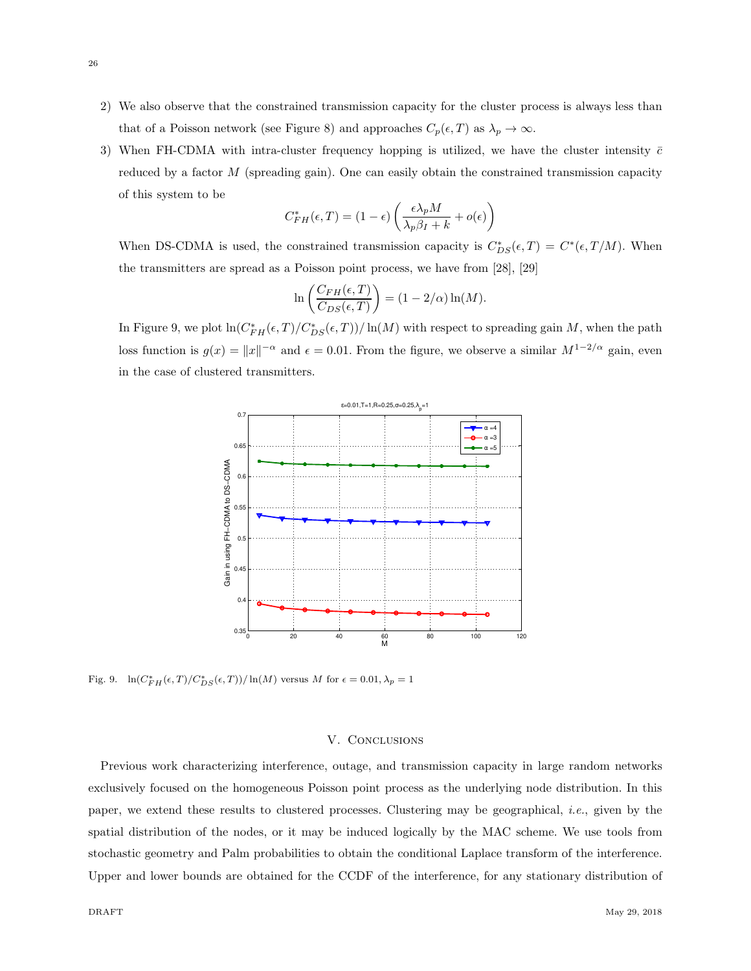- 2) We also observe that the constrained transmission capacity for the cluster process is always less than that of a Poisson network (see Figure 8) and approaches  $C_p(\epsilon, T)$  as  $\lambda_p \to \infty$ .
- 3) When FH-CDMA with intra-cluster frequency hopping is utilized, we have the cluster intensity  $\bar{c}$ reduced by a factor M (spreading gain). One can easily obtain the constrained transmission capacity of this system to be

$$
C_{FH}^{*}(\epsilon, T) = (1 - \epsilon) \left( \frac{\epsilon \lambda_p M}{\lambda_p \beta_I + k} + o(\epsilon) \right)
$$

When DS-CDMA is used, the constrained transmission capacity is  $C_{DS}^*(\epsilon,T) = C^*(\epsilon,T/M)$ . When the transmitters are spread as a Poisson point process, we have from [28], [29]

$$
\ln\left(\frac{C_{FH}(\epsilon,T)}{C_{DS}(\epsilon,T)}\right) = (1 - 2/\alpha)\ln(M).
$$

In Figure 9, we plot  $\ln(C_{FH}^*(\epsilon, T)/C_{DS}^*(\epsilon, T))/\ln(M)$  with respect to spreading gain M, when the path loss function is  $g(x) = ||x||^{-\alpha}$  and  $\epsilon = 0.01$ . From the figure, we observe a similar  $M^{1-2/\alpha}$  gain, even in the case of clustered transmitters.



Fig. 9.  $\ln(C_{FH}^*(\epsilon, T)/C_{DS}^*(\epsilon, T))/\ln(M)$  versus M for  $\epsilon = 0.01, \lambda_p = 1$ 

#### V. CONCLUSIONS

Previous work characterizing interference, outage, and transmission capacity in large random networks exclusively focused on the homogeneous Poisson point process as the underlying node distribution. In this paper, we extend these results to clustered processes. Clustering may be geographical, *i.e.*, given by the spatial distribution of the nodes, or it may be induced logically by the MAC scheme. We use tools from stochastic geometry and Palm probabilities to obtain the conditional Laplace transform of the interference. Upper and lower bounds are obtained for the CCDF of the interference, for any stationary distribution of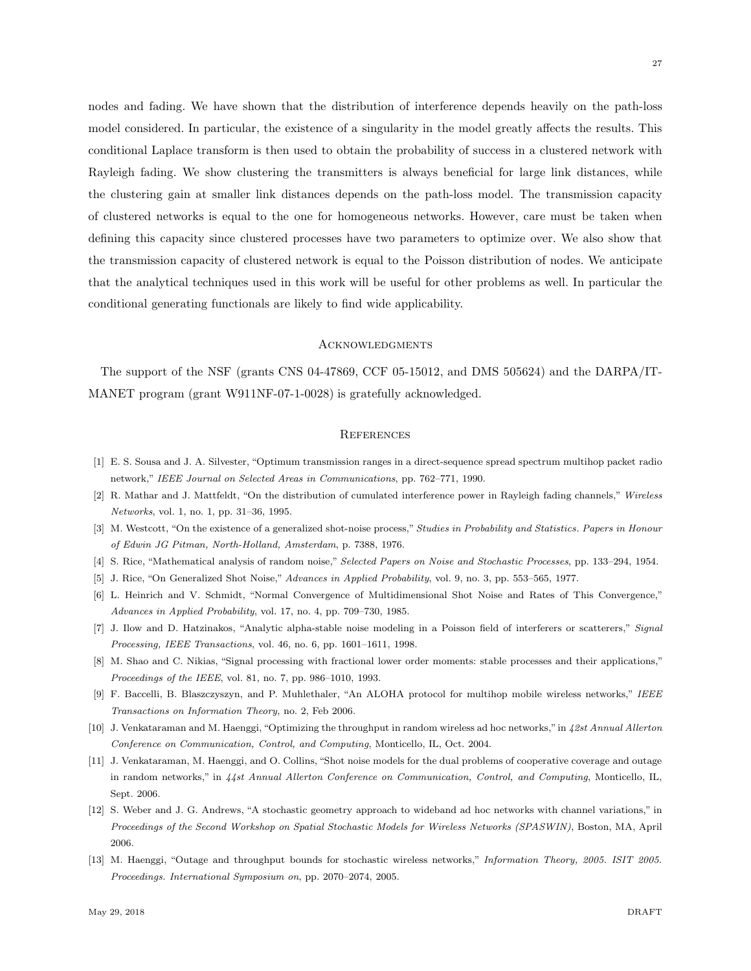nodes and fading. We have shown that the distribution of interference depends heavily on the path-loss model considered. In particular, the existence of a singularity in the model greatly affects the results. This conditional Laplace transform is then used to obtain the probability of success in a clustered network with Rayleigh fading. We show clustering the transmitters is always beneficial for large link distances, while the clustering gain at smaller link distances depends on the path-loss model. The transmission capacity of clustered networks is equal to the one for homogeneous networks. However, care must be taken when defining this capacity since clustered processes have two parameters to optimize over. We also show that the transmission capacity of clustered network is equal to the Poisson distribution of nodes. We anticipate that the analytical techniques used in this work will be useful for other problems as well. In particular the conditional generating functionals are likely to find wide applicability.

# **ACKNOWLEDGMENTS**

The support of the NSF (grants CNS 04-47869, CCF 05-15012, and DMS 505624) and the DARPA/IT-MANET program (grant W911NF-07-1-0028) is gratefully acknowledged.

#### **REFERENCES**

- [1] E. S. Sousa and J. A. Silvester, "Optimum transmission ranges in a direct-sequence spread spectrum multihop packet radio network," *IEEE Journal on Selected Areas in Communications*, pp. 762–771, 1990.
- [2] R. Mathar and J. Mattfeldt, "On the distribution of cumulated interference power in Rayleigh fading channels," *Wireless Networks*, vol. 1, no. 1, pp. 31–36, 1995.
- [3] M. Westcott, "On the existence of a generalized shot-noise process," *Studies in Probability and Statistics. Papers in Honour of Edwin JG Pitman, North-Holland, Amsterdam*, p. 7388, 1976.
- [4] S. Rice, "Mathematical analysis of random noise," *Selected Papers on Noise and Stochastic Processes*, pp. 133–294, 1954.
- [5] J. Rice, "On Generalized Shot Noise," *Advances in Applied Probability*, vol. 9, no. 3, pp. 553–565, 1977.
- [6] L. Heinrich and V. Schmidt, "Normal Convergence of Multidimensional Shot Noise and Rates of This Convergence," *Advances in Applied Probability*, vol. 17, no. 4, pp. 709–730, 1985.
- [7] J. Ilow and D. Hatzinakos, "Analytic alpha-stable noise modeling in a Poisson field of interferers or scatterers," *Signal Processing, IEEE Transactions*, vol. 46, no. 6, pp. 1601–1611, 1998.
- [8] M. Shao and C. Nikias, "Signal processing with fractional lower order moments: stable processes and their applications," *Proceedings of the IEEE*, vol. 81, no. 7, pp. 986–1010, 1993.
- [9] F. Baccelli, B. Blaszczyszyn, and P. Muhlethaler, "An ALOHA protocol for multihop mobile wireless networks," *IEEE Transactions on Information Theory*, no. 2, Feb 2006.
- [10] J. Venkataraman and M. Haenggi, "Optimizing the throughput in random wireless ad hoc networks,"in *42st Annual Allerton Conference on Communication, Control, and Computing*, Monticello, IL, Oct. 2004.
- [11] J. Venkataraman, M. Haenggi, and O. Collins, "Shot noise models for the dual problems of cooperative coverage and outage in random networks," in *44st Annual Allerton Conference on Communication, Control, and Computing*, Monticello, IL, Sept. 2006.
- [12] S. Weber and J. G. Andrews, "A stochastic geometry approach to wideband ad hoc networks with channel variations," in *Proceedings of the Second Workshop on Spatial Stochastic Models for Wireless Networks (SPASWIN)*, Boston, MA, April 2006.
- [13] M. Haenggi, "Outage and throughput bounds for stochastic wireless networks," *Information Theory, 2005. ISIT 2005. Proceedings. International Symposium on*, pp. 2070–2074, 2005.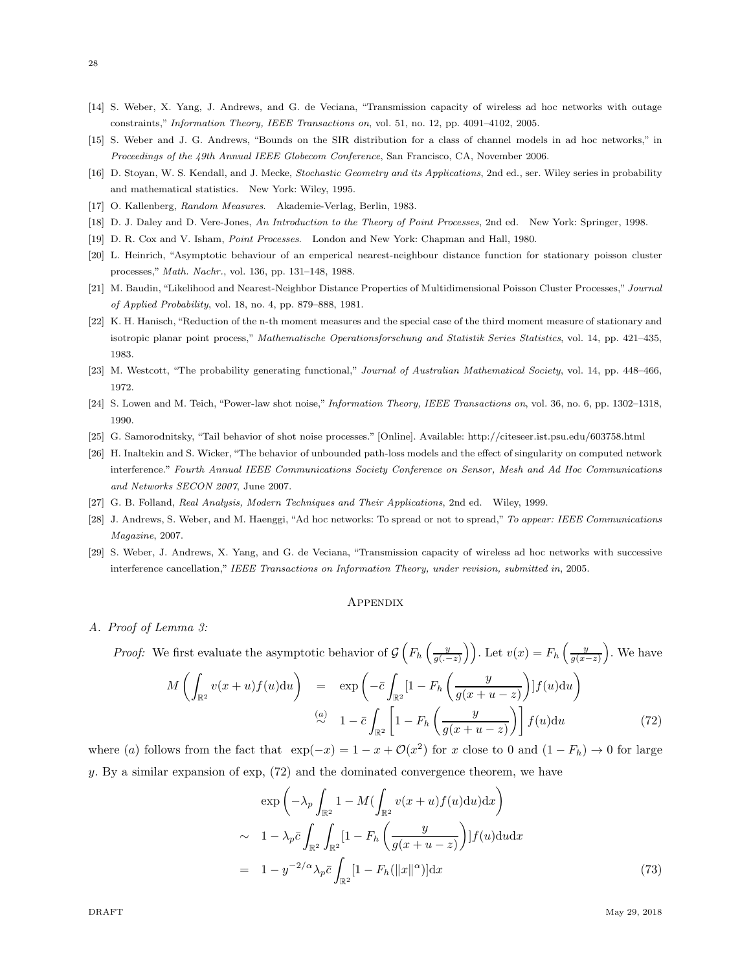- [14] S. Weber, X. Yang, J. Andrews, and G. de Veciana, "Transmission capacity of wireless ad hoc networks with outage constraints," *Information Theory, IEEE Transactions on*, vol. 51, no. 12, pp. 4091–4102, 2005.
- [15] S. Weber and J. G. Andrews, "Bounds on the SIR distribution for a class of channel models in ad hoc networks," in *Proceedings of the 49th Annual IEEE Globecom Conference*, San Francisco, CA, November 2006.
- [16] D. Stoyan, W. S. Kendall, and J. Mecke, *Stochastic Geometry and its Applications*, 2nd ed., ser. Wiley series in probability and mathematical statistics. New York: Wiley, 1995.
- [17] O. Kallenberg, *Random Measures*. Akademie-Verlag, Berlin, 1983.
- [18] D. J. Daley and D. Vere-Jones, *An Introduction to the Theory of Point Processes*, 2nd ed. New York: Springer, 1998.
- [19] D. R. Cox and V. Isham, *Point Processes*. London and New York: Chapman and Hall, 1980.
- [20] L. Heinrich, "Asymptotic behaviour of an emperical nearest-neighbour distance function for stationary poisson cluster processes," *Math. Nachr.*, vol. 136, pp. 131–148, 1988.
- [21] M. Baudin, "Likelihood and Nearest-Neighbor Distance Properties of Multidimensional Poisson Cluster Processes," *Journal of Applied Probability*, vol. 18, no. 4, pp. 879–888, 1981.
- [22] K. H. Hanisch, "Reduction of the n-th moment measures and the special case of the third moment measure of stationary and isotropic planar point process," *Mathematische Operationsforschung and Statistik Series Statistics*, vol. 14, pp. 421–435, 1983.
- [23] M. Westcott, "The probability generating functional," *Journal of Australian Mathematical Society*, vol. 14, pp. 448–466, 1972.
- [24] S. Lowen and M. Teich, "Power-law shot noise," *Information Theory, IEEE Transactions on*, vol. 36, no. 6, pp. 1302–1318, 1990.
- [25] G. Samorodnitsky, "Tail behavior of shot noise processes." [Online]. Available: http://citeseer.ist.psu.edu/603758.html
- [26] H. Inaltekin and S. Wicker, "The behavior of unbounded path-loss models and the effect of singularity on computed network interference." *Fourth Annual IEEE Communications Society Conference on Sensor, Mesh and Ad Hoc Communications and Networks SECON 2007*, June 2007.
- [27] G. B. Folland, *Real Analysis, Modern Techniques and Their Applications*, 2nd ed. Wiley, 1999.
- [28] J. Andrews, S. Weber, and M. Haenggi, "Ad hoc networks: To spread or not to spread," *To appear: IEEE Communications Magazine*, 2007.
- [29] S. Weber, J. Andrews, X. Yang, and G. de Veciana, "Transmission capacity of wireless ad hoc networks with successive interference cancellation," *IEEE Transactions on Information Theory, under revision, submitted in*, 2005.

#### **APPENDIX**

*A. Proof of Lemma 3:*

*Proof:* We first evaluate the asymptotic behavior of 
$$
\mathcal{G}\left(F_h\left(\frac{y}{g(-z)}\right)\right)
$$
. Let  $v(x) = F_h\left(\frac{y}{g(x-z)}\right)$ . We have

$$
M\left(\int_{\mathbb{R}^2} v(x+u)f(u)du\right) = \exp\left(-\bar{c}\int_{\mathbb{R}^2} \left[1 - F_h\left(\frac{y}{g(x+u-z)}\right)\right]f(u)du\right)
$$
  

$$
\stackrel{(a)}{\sim} 1 - \bar{c}\int_{\mathbb{R}^2} \left[1 - F_h\left(\frac{y}{g(x+u-z)}\right)\right]f(u)du
$$
 (72)

where (a) follows from the fact that  $\exp(-x) = 1 - x + \mathcal{O}(x^2)$  for x close to 0 and  $(1 - F_h) \to 0$  for large y. By a similar expansion of exp, (72) and the dominated convergence theorem, we have

$$
\exp\left(-\lambda_p \int_{\mathbb{R}^2} 1 - M(\int_{\mathbb{R}^2} v(x+u) f(u) \mathrm{d}u) \mathrm{d}x\right)
$$
  
\n
$$
\sim 1 - \lambda_p \bar{c} \int_{\mathbb{R}^2} \int_{\mathbb{R}^2} \left[1 - F_h\left(\frac{y}{g(x+u-z)}\right) \right] f(u) \mathrm{d}u \mathrm{d}x
$$
  
\n
$$
= 1 - y^{-2/\alpha} \lambda_p \bar{c} \int_{\mathbb{R}^2} \left[1 - F_h(\|x\|^{\alpha}) \right] \mathrm{d}x \tag{73}
$$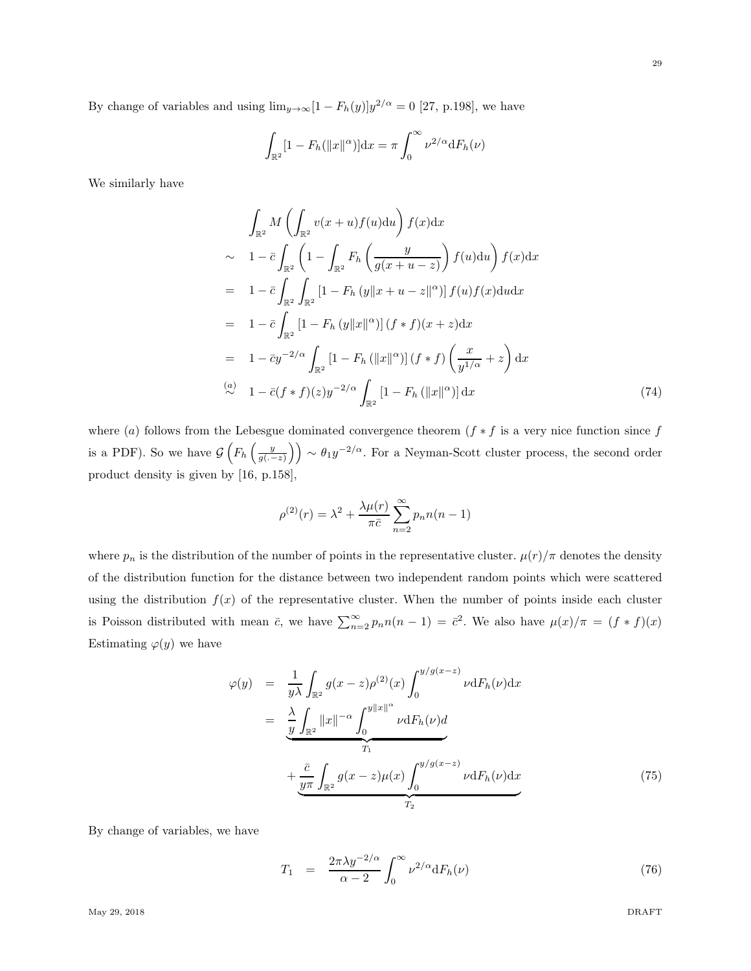By change of variables and using  $\lim_{y\to\infty} [1 - F_h(y)]y^{2/\alpha} = 0$  [27, p.198], we have

$$
\int_{\mathbb{R}^2} [1 - F_h(||x||^{\alpha})] dx = \pi \int_0^{\infty} \nu^{2/\alpha} dF_h(\nu)
$$

We similarly have

$$
\int_{\mathbb{R}^2} M \left( \int_{\mathbb{R}^2} v(x+u) f(u) \mathrm{d}u \right) f(x) \mathrm{d}x
$$
\n
$$
\sim 1 - \bar{c} \int_{\mathbb{R}^2} \left( 1 - \int_{\mathbb{R}^2} F_h \left( \frac{y}{g(x+u-z)} \right) f(u) \mathrm{d}u \right) f(x) \mathrm{d}x
$$
\n
$$
= 1 - \bar{c} \int_{\mathbb{R}^2} \int_{\mathbb{R}^2} \left[ 1 - F_h \left( y ||x+u-z||^{\alpha} \right) \right] f(u) f(x) \mathrm{d}u \mathrm{d}x
$$
\n
$$
= 1 - \bar{c} \int_{\mathbb{R}^2} \left[ 1 - F_h \left( y ||x||^{\alpha} \right) \right] (f * f)(x+z) \mathrm{d}x
$$
\n
$$
= 1 - \bar{c} y^{-2/\alpha} \int_{\mathbb{R}^2} \left[ 1 - F_h \left( ||x||^{\alpha} \right) \right] (f * f) \left( \frac{x}{y^{1/\alpha}} + z \right) \mathrm{d}x
$$
\n
$$
\stackrel{(a)}{\sim} 1 - \bar{c} (f * f)(z) y^{-2/\alpha} \int_{\mathbb{R}^2} \left[ 1 - F_h \left( ||x||^{\alpha} \right) \right] \mathrm{d}x \tag{74}
$$

where (a) follows from the Lebesgue dominated convergence theorem ( $f * f$  is a very nice function since f is a PDF). So we have  $\mathcal{G}\left(F_h\left(\frac{y}{g(-z)}\right)\right) \sim \theta_1 y^{-2/\alpha}$ . For a Neyman-Scott cluster process, the second order product density is given by [16, p.158],

$$
\rho^{(2)}(r) = \lambda^2 + \frac{\lambda \mu(r)}{\pi \bar{c}} \sum_{n=2}^{\infty} p_n n(n-1)
$$

where  $p_n$  is the distribution of the number of points in the representative cluster.  $\mu(r)/\pi$  denotes the density of the distribution function for the distance between two independent random points which were scattered using the distribution  $f(x)$  of the representative cluster. When the number of points inside each cluster is Poisson distributed with mean  $\bar{c}$ , we have  $\sum_{n=2}^{\infty} p_n n(n-1) = \bar{c}^2$ . We also have  $\mu(x)/\pi = (f * f)(x)$ Estimating  $\varphi(y)$  we have

$$
\varphi(y) = \frac{1}{y\lambda} \int_{\mathbb{R}^2} g(x-z) \rho^{(2)}(x) \int_0^{y/g(x-z)} \nu \, dF_h(\nu) \, dx
$$

$$
= \frac{\lambda}{y} \int_{\mathbb{R}^2} ||x||^{-\alpha} \int_0^{y||x||^{\alpha}} \nu \, dF_h(\nu) \, d\nu
$$

$$
+ \frac{\bar{c}}{y\pi} \int_{\mathbb{R}^2} g(x-z) \mu(x) \int_0^{y/g(x-z)} \nu \, dF_h(\nu) \, dx
$$
(75)

By change of variables, we have

$$
T_1 = \frac{2\pi\lambda y^{-2/\alpha}}{\alpha - 2} \int_0^\infty \nu^{2/\alpha} dF_h(\nu) \tag{76}
$$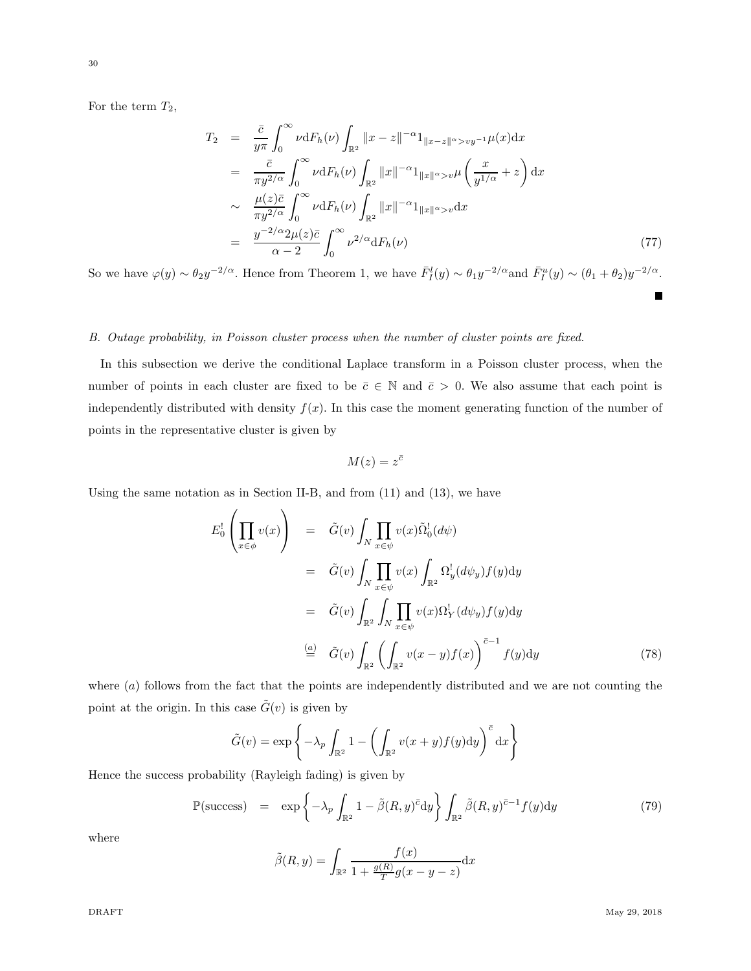30

For the term  $T_2$ ,

$$
T_2 = \frac{\bar{c}}{y\pi} \int_0^\infty \nu \mathrm{d}F_h(\nu) \int_{\mathbb{R}^2} ||x - z||^{-\alpha} 1_{||x - z||^{\alpha} > vy^{-1}} \mu(x) \mathrm{d}x
$$
  
\n
$$
= \frac{\bar{c}}{\pi y^{2/\alpha}} \int_0^\infty \nu \mathrm{d}F_h(\nu) \int_{\mathbb{R}^2} ||x||^{-\alpha} 1_{||x||^{\alpha} > v} \mu\left(\frac{x}{y^{1/\alpha}} + z\right) \mathrm{d}x
$$
  
\n
$$
\sim \frac{\mu(z)\bar{c}}{\pi y^{2/\alpha}} \int_0^\infty \nu \mathrm{d}F_h(\nu) \int_{\mathbb{R}^2} ||x||^{-\alpha} 1_{||x||^{\alpha} > v} \mathrm{d}x
$$
  
\n
$$
= \frac{y^{-2/\alpha} 2\mu(z)\bar{c}}{\alpha - 2} \int_0^\infty \nu^{2/\alpha} \mathrm{d}F_h(\nu) \tag{77}
$$

So we have  $\varphi(y) \sim \theta_2 y^{-2/\alpha}$ . Hence from Theorem 1, we have  $\bar{F}_I^l(y) \sim \theta_1 y^{-2/\alpha}$  and  $\bar{F}_I^u(y) \sim (\theta_1 + \theta_2) y^{-2/\alpha}$ . Г

# *B. Outage probability, in Poisson cluster process when the number of cluster points are fixed.*

In this subsection we derive the conditional Laplace transform in a Poisson cluster process, when the number of points in each cluster are fixed to be  $\bar{c} \in \mathbb{N}$  and  $\bar{c} > 0$ . We also assume that each point is independently distributed with density  $f(x)$ . In this case the moment generating function of the number of points in the representative cluster is given by

$$
M(z) = z^{\bar{c}}
$$

Using the same notation as in Section II-B, and from (11) and (13), we have

$$
E_0^! \left( \prod_{x \in \phi} v(x) \right) = \tilde{G}(v) \int_N \prod_{x \in \psi} v(x) \tilde{\Omega}_0^! (d\psi)
$$
  
\n
$$
= \tilde{G}(v) \int_N \prod_{x \in \psi} v(x) \int_{\mathbb{R}^2} \Omega_y^! (d\psi_y) f(y) dy
$$
  
\n
$$
= \tilde{G}(v) \int_{\mathbb{R}^2} \int_N \prod_{x \in \psi} v(x) \Omega_Y^! (d\psi_y) f(y) dy
$$
  
\n
$$
\stackrel{(a)}{=} \tilde{G}(v) \int_{\mathbb{R}^2} \left( \int_{\mathbb{R}^2} v(x - y) f(x) \right)^{\tilde{c}-1} f(y) dy
$$
\n(78)

where  $(a)$  follows from the fact that the points are independently distributed and we are not counting the point at the origin. In this case  $\tilde{G}(v)$  is given by

$$
\tilde{G}(v) = \exp\left\{-\lambda_p \int_{\mathbb{R}^2} 1 - \left(\int_{\mathbb{R}^2} v(x+y)f(y)dy\right)^{\bar{c}} dx\right\}
$$

Hence the success probability (Rayleigh fading) is given by

$$
\mathbb{P}(\text{success}) = \exp\left\{-\lambda_p \int_{\mathbb{R}^2} 1 - \tilde{\beta}(R, y)^{\bar{c}} dy\right\} \int_{\mathbb{R}^2} \tilde{\beta}(R, y)^{\bar{c}-1} f(y) dy \tag{79}
$$

where

$$
\tilde{\beta}(R, y) = \int_{\mathbb{R}^2} \frac{f(x)}{1 + \frac{g(R)}{T}g(x - y - z)} dx
$$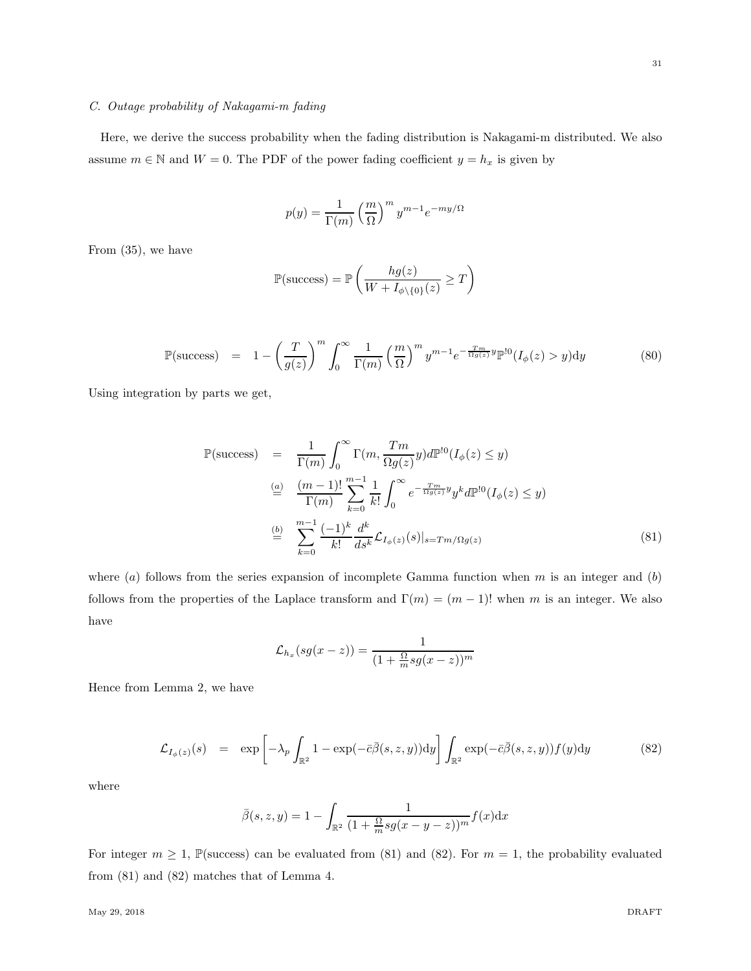# *C. Outage probability of Nakagami-m fading*

Here, we derive the success probability when the fading distribution is Nakagami-m distributed. We also assume  $m \in \mathbb{N}$  and  $W = 0$ . The PDF of the power fading coefficient  $y = h_x$  is given by

$$
p(y) = \frac{1}{\Gamma(m)} \left(\frac{m}{\Omega}\right)^m y^{m-1} e^{-my/\Omega}
$$

From (35), we have

$$
\mathbb{P}(\text{success}) = \mathbb{P}\left(\frac{hg(z)}{W + I_{\phi\setminus\{0\}}(z)} \ge T\right)
$$

$$
\mathbb{P}(\text{success}) = 1 - \left(\frac{T}{g(z)}\right)^m \int_0^\infty \frac{1}{\Gamma(m)} \left(\frac{m}{\Omega}\right)^m y^{m-1} e^{-\frac{Tm}{\Omega g(z)}y} \mathbb{P}^{10}(I_\phi(z) > y) dy \tag{80}
$$

Using integration by parts we get,

$$
\mathbb{P}(\text{success}) = \frac{1}{\Gamma(m)} \int_0^\infty \Gamma(m, \frac{Tm}{\Omega g(z)}) d\mathbb{P}^{10}(I_\phi(z) \le y)
$$
  
\n
$$
\stackrel{(a)}{=} \frac{(m-1)!}{\Gamma(m)} \sum_{k=0}^{m-1} \frac{1}{k!} \int_0^\infty e^{-\frac{Tm}{\Omega g(z)}} y_k d\mathbb{P}^{10}(I_\phi(z) \le y)
$$
  
\n
$$
\stackrel{(b)}{=} \sum_{k=0}^{m-1} \frac{(-1)^k}{k!} \frac{d^k}{ds^k} \mathcal{L}_{I_\phi(z)}(s)|_{s=Tm/\Omega g(z)}
$$
\n(81)

where (a) follows from the series expansion of incomplete Gamma function when m is an integer and  $(b)$ follows from the properties of the Laplace transform and  $\Gamma(m) = (m-1)!$  when m is an integer. We also have

$$
\mathcal{L}_{h_x}(sg(x-z)) = \frac{1}{(1+\frac{\Omega}{m}sg(x-z))^m}
$$

Hence from Lemma 2, we have

$$
\mathcal{L}_{I_{\phi}(z)}(s) = \exp\left[-\lambda_p \int_{\mathbb{R}^2} 1 - \exp(-\bar{c}\bar{\beta}(s, z, y)) dy\right] \int_{\mathbb{R}^2} \exp(-\bar{c}\bar{\beta}(s, z, y)) f(y) dy \tag{82}
$$

where

$$
\bar{\beta}(s, z, y) = 1 - \int_{\mathbb{R}^2} \frac{1}{(1 + \frac{\Omega}{m} s g(x - y - z))^m} f(x) dx
$$

For integer  $m \ge 1$ , P(success) can be evaluated from (81) and (82). For  $m = 1$ , the probability evaluated from (81) and (82) matches that of Lemma 4.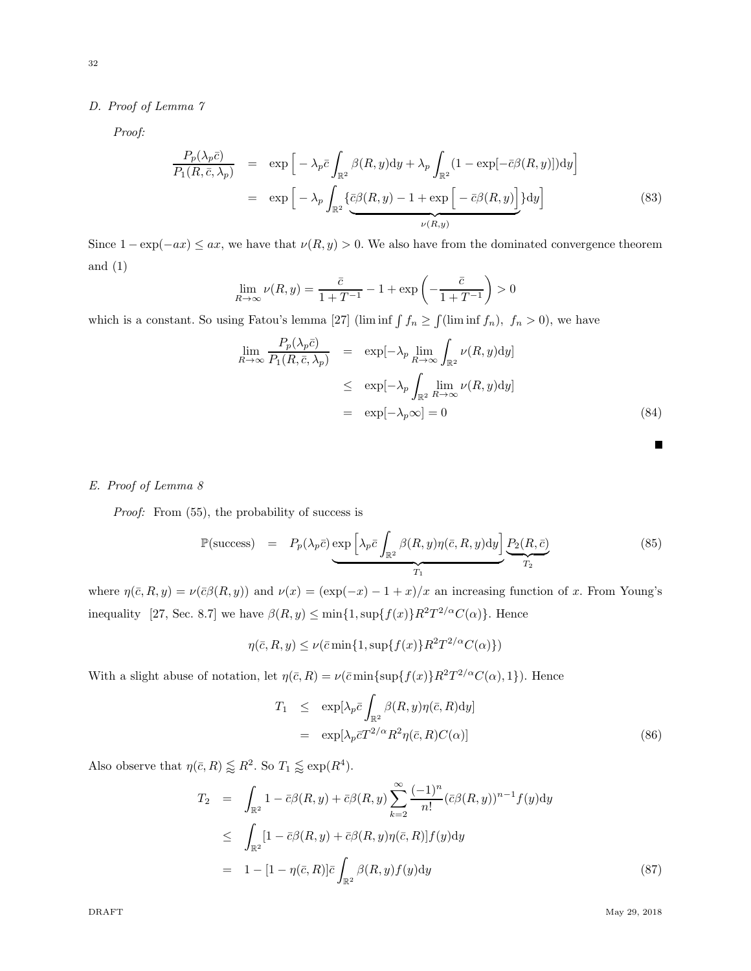# *D. Proof of Lemma 7*

*Proof:*

$$
\frac{P_p(\lambda_p \bar{c})}{P_1(R, \bar{c}, \lambda_p)} = \exp\left[-\lambda_p \bar{c} \int_{\mathbb{R}^2} \beta(R, y) dy + \lambda_p \int_{\mathbb{R}^2} (1 - \exp[-\bar{c}\beta(R, y)]) dy\right]
$$
\n
$$
= \exp\left[-\lambda_p \int_{\mathbb{R}^2} \left\{\frac{\bar{c}\beta(R, y) - 1 + \exp\left[-\bar{c}\beta(R, y)\right]}{\nu(R, y)}\right\} dy\right]
$$
\n(83)

Since  $1 - \exp(-ax) \le ax$ , we have that  $\nu(R, y) > 0$ . We also have from the dominated convergence theorem and  $(1)$ 

$$
\lim_{R \to \infty} \nu(R, y) = \frac{\bar{c}}{1 + T^{-1}} - 1 + \exp\left(-\frac{\bar{c}}{1 + T^{-1}}\right) > 0
$$

which is a constant. So using Fatou's lemma [27] (lim inf  $\int f_n \ge \int (\liminf f_n)$ ,  $f_n > 0$ ), we have

$$
\lim_{R \to \infty} \frac{P_p(\lambda_p \bar{c})}{P_1(R, \bar{c}, \lambda_p)} = \exp[-\lambda_p \lim_{R \to \infty} \int_{\mathbb{R}^2} \nu(R, y) dy]
$$
  
\n
$$
\leq \exp[-\lambda_p \int_{\mathbb{R}^2} \lim_{R \to \infty} \nu(R, y) dy]
$$
  
\n
$$
= \exp[-\lambda_p \infty] = 0
$$
\n(84)

# *E. Proof of Lemma 8*

*Proof:* From (55), the probability of success is

$$
\mathbb{P}(\text{success}) = P_p(\lambda_p \bar{c}) \underbrace{\exp\left[\lambda_p \bar{c} \int_{\mathbb{R}^2} \beta(R, y) \eta(\bar{c}, R, y) \mathrm{d}y\right]}_{T_1} \underbrace{P_2(R, \bar{c})}_{T_2} \tag{85}
$$

where  $\eta(\bar{c}, R, y) = \nu(\bar{c}\beta(R, y))$  and  $\nu(x) = (\exp(-x) - 1 + x)/x$  an increasing function of x. From Young's inequality [27, Sec. 8.7] we have  $\beta(R, y) \le \min\{1, \sup\{f(x)\}R^2T^{2/\alpha}C(\alpha)\}\.$  Hence

$$
\eta(\bar{c}, R, y) \le \nu(\bar{c}\min\{1, \sup\{f(x)\}R^2T^{2/\alpha}C(\alpha)\})
$$

With a slight abuse of notation, let  $\eta(\bar{c}, R) = \nu(\bar{c} \min\{\sup\{f(x)\} R^2 T^{2/\alpha} C(\alpha), 1\})$ . Hence

$$
T_1 \leq \exp[\lambda_p \bar{c} \int_{\mathbb{R}^2} \beta(R, y) \eta(\bar{c}, R) dy]
$$
  
= 
$$
\exp[\lambda_p \bar{c} T^{2/\alpha} R^2 \eta(\bar{c}, R) C(\alpha)]
$$
 (86)

Also observe that  $\eta(\bar{c}, R) \lessapprox R^2$ . So  $T_1 \lessapprox \exp(R^4)$ .

$$
T_2 = \int_{\mathbb{R}^2} 1 - \bar{c}\beta(R, y) + \bar{c}\beta(R, y) \sum_{k=2}^{\infty} \frac{(-1)^n}{n!} (\bar{c}\beta(R, y))^{n-1} f(y) dy
$$
  
\n
$$
\leq \int_{\mathbb{R}^2} [1 - \bar{c}\beta(R, y) + \bar{c}\beta(R, y)\eta(\bar{c}, R)] f(y) dy
$$
  
\n
$$
= 1 - [1 - \eta(\bar{c}, R)] \bar{c} \int_{\mathbb{R}^2} \beta(R, y) f(y) dy
$$
\n(87)

П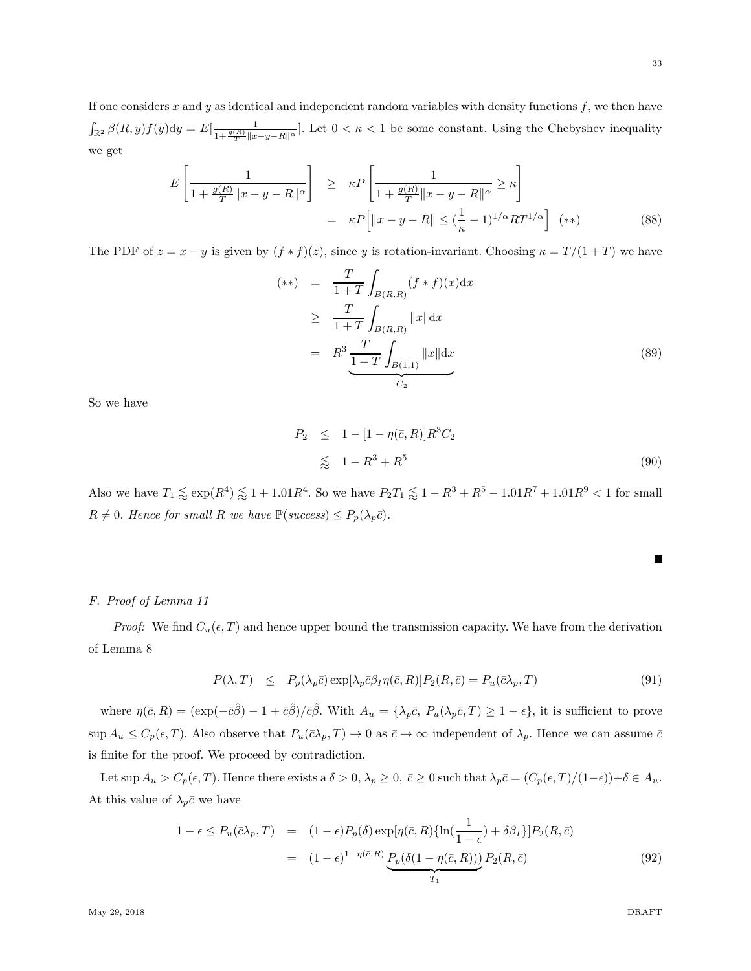If one considers x and y as identical and independent random variables with density functions  $f$ , we then have  $\int_{\mathbb{R}^2} \beta(R, y) f(y) dy = E\left[\frac{1}{1 + \frac{g(R)}{T} \|x - y - R\|^{\alpha}}\right]$ . Let  $0 < \kappa < 1$  be some constant. Using the Chebyshev inequality we get

$$
E\left[\frac{1}{1+\frac{g(R)}{T}\|x-y-R\|^{\alpha}}\right] \geq \kappa P\left[\frac{1}{1+\frac{g(R)}{T}\|x-y-R\|^{\alpha}} \geq \kappa\right]
$$

$$
= \kappa P\left[\|x-y-R\| \leq (\frac{1}{\kappa}-1)^{1/\alpha}RT^{1/\alpha}\right] \quad (**)
$$
(88)

The PDF of  $z = x - y$  is given by  $(f * f)(z)$ , since y is rotation-invariant. Choosing  $\kappa = T/(1+T)$  we have

$$
(**) = \frac{T}{1+T} \int_{B(R,R)} (f * f)(x) dx
$$
  
\n
$$
\geq \frac{T}{1+T} \int_{B(R,R)} ||x|| dx
$$
  
\n
$$
= R^3 \frac{T}{1+T} \int_{B(1,1)} ||x|| dx
$$
 (89)

So we have

$$
P_2 \leq 1 - [1 - \eta(\bar{c}, R)]R^3C_2
$$
  
\n
$$
\leq 1 - R^3 + R^5
$$
 (90)

Also we have  $T_1 \lessapprox \exp(R^4) \lessapprox 1 + 1.01R^4$ . So we have  $P_2T_1 \lessapprox 1 - R^3 + R^5 - 1.01R^7 + 1.01R^9 < 1$  for small  $R \neq 0$ *. Hence for small* R we have  $\mathbb{P}(success) \leq P_p(\lambda_p \bar{c})$ *.* 

# *F. Proof of Lemma 11*

*Proof:* We find  $C_u(\epsilon, T)$  and hence upper bound the transmission capacity. We have from the derivation of Lemma 8

$$
P(\lambda, T) \leq P_p(\lambda_p \bar{c}) \exp[\lambda_p \bar{c} \beta_I \eta(\bar{c}, R)] P_2(R, \bar{c}) = P_u(\bar{c} \lambda_p, T) \tag{91}
$$

where  $\eta(\bar{c}, R) = (\exp(-\bar{c}\hat{\beta}) - 1 + \bar{c}\hat{\beta})/\bar{c}\hat{\beta}$ . With  $A_u = {\lambda_p \bar{c}, P_u(\lambda_p \bar{c}, T) \ge 1 - \epsilon}$ , it is sufficient to prove  $\sup A_u \leq C_p(\epsilon, T)$ . Also observe that  $P_u(\bar{c} \lambda_p, T) \to 0$  as  $\bar{c} \to \infty$  independent of  $\lambda_p$ . Hence we can assume  $\bar{c}$ is finite for the proof. We proceed by contradiction.

Let sup  $A_u > C_p(\epsilon, T)$ . Hence there exists a  $\delta > 0$ ,  $\lambda_p \ge 0$ ,  $\bar{c} \ge 0$  such that  $\lambda_p \bar{c} = (C_p(\epsilon, T)/(1-\epsilon)) + \delta \in A_u$ . At this value of  $\lambda_p \bar{c}$  we have

$$
1 - \epsilon \le P_u(\bar{c}\lambda_p, T) = (1 - \epsilon)P_p(\delta) \exp[\eta(\bar{c}, R)\{\ln(\frac{1}{1 - \epsilon}) + \delta\beta_I\}]P_2(R, \bar{c})
$$
  

$$
= (1 - \epsilon)^{1 - \eta(\bar{c}, R)} \underbrace{P_p(\delta(1 - \eta(\bar{c}, R)))}_{T_1} P_2(R, \bar{c})
$$
(92)